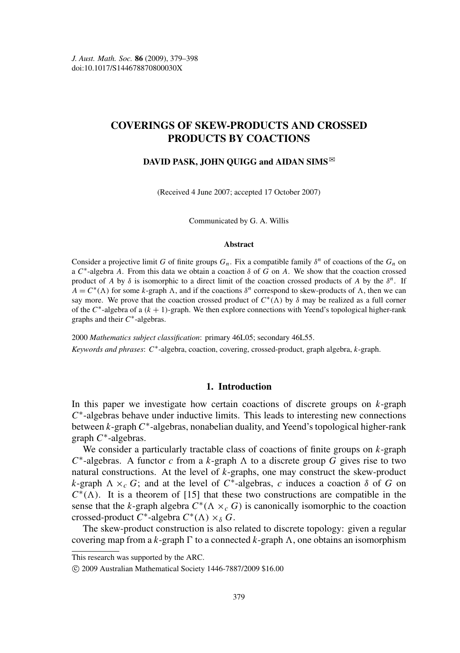# COVERINGS OF SKEW-PRODUCTS AND CROSSED PRODUCTS BY COACTIONS

## DAVID PASK, JOHN QUIGG and AIDAN SIMS $\mathbb{R}$

(Received 4 June 2007; accepted 17 October 2007)

Communicated by G. A. Willis

#### Abstract

Consider a projective limit *G* of finite groups  $G_n$ . Fix a compatible family  $\delta^n$  of coactions of the  $G_n$  on a  $C^*$ -algebra *A*. From this data we obtain a coaction  $\delta$  of *G* on *A*. We show that the coaction crossed product of *A* by  $\delta$  is isomorphic to a direct limit of the coaction crossed products of *A* by the  $\delta^n$ . If  $A = C^*(\Lambda)$  for some *k*-graph  $\Lambda$ , and if the coactions  $\delta^n$  correspond to skew-products of  $\Lambda$ , then we can say more. We prove that the coaction crossed product of  $C^*(\Lambda)$  by  $\delta$  may be realized as a full corner of the  $C^*$ -algebra of a  $(k + 1)$ -graph. We then explore connections with Yeend's topological higher-rank graphs and their  $C^*$ -algebras.

2000 *Mathematics subject classification*: primary 46L05; secondary 46L55. *Keywords and phrases*: *C* ∗ -algebra, coaction, covering, crossed-product, graph algebra, *k*-graph.

## 1. Introduction

In this paper we investigate how certain coactions of discrete groups on *k*-graph C<sup>\*</sup>-algebras behave under inductive limits. This leads to interesting new connections between *k*-graph C<sup>\*</sup>-algebras, nonabelian duality, and Yeend's topological higher-rank graph *C* ∗ -algebras.

We consider a particularly tractable class of coactions of finite groups on *k*-graph  $C^*$ -algebras. A functor *c* from a *k*-graph  $\Lambda$  to a discrete group  $\tilde{G}$  gives rise to two natural constructions. At the level of *k*-graphs, one may construct the skew-product *k*-graph  $\Lambda \times_c G$ ; and at the level of  $C^*$ -algebras, *c* induces a coaction  $\delta$  of *G* on  $C^*(\Lambda)$ . It is a theorem of [\[15\]](#page-19-0) that these two constructions are compatible in the sense that the *k*-graph algebra  $C^*(\Lambda \times_c G)$  is canonically isomorphic to the coaction crossed-product  $C^*$ -algebra  $C^*(\Lambda) \times_{\delta} G$ .

The skew-product construction is also related to discrete topology: given a regular covering map from a *k*-graph  $\Gamma$  to a connected *k*-graph  $\Lambda$ , one obtains an isomorphism

This research was supported by the ARC.

c 2009 Australian Mathematical Society 1446-7887/2009 \$16.00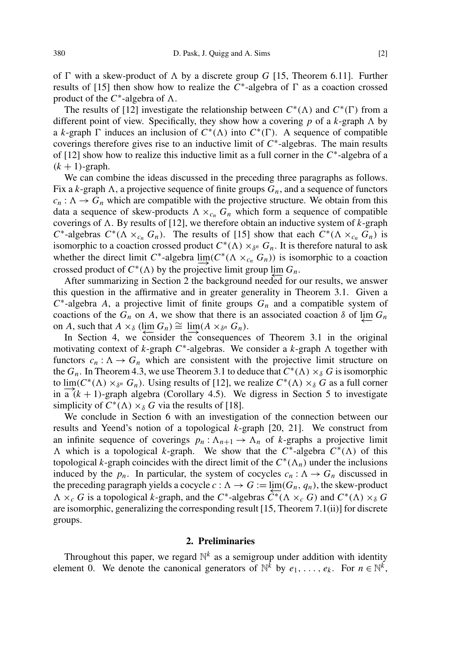of  $\Gamma$  with a skew-product of  $\Lambda$  by a discrete group *G* [\[15,](#page-19-0) Theorem 6.11]. Further results of [\[15\]](#page-19-0) then show how to realize the  $\overline{C}^*$ -algebra of  $\Gamma$  as a coaction crossed product of the  $C^*$ -algebra of  $\Lambda$ .

The results of [\[12\]](#page-19-1) investigate the relationship between  $C^*(\Lambda)$  and  $C^*(\Gamma)$  from a different point of view. Specifically, they show how a covering p of a  $k$ -graph  $\Lambda$  by a *k*-graph  $\Gamma$  induces an inclusion of  $C^*(\Lambda)$  into  $C^*(\Gamma)$ . A sequence of compatible coverings therefore gives rise to an inductive limit of  $C^*$ -algebras. The main results of  $[12]$  show how to realize this inductive limit as a full corner in the  $C^*$ -algebra of a  $(k + 1)$ -graph.

We can combine the ideas discussed in the preceding three paragraphs as follows. Fix a *k*-graph  $\Lambda$ , a projective sequence of finite groups  $G_n$ , and a sequence of functors  $c_n : \Lambda \to G_n$  which are compatible with the projective structure. We obtain from this data a sequence of skew-products  $\Lambda \times_{c_n} G_n$  which form a sequence of compatible coverings of  $\Lambda$ . By results of [\[12\]](#page-19-1), we therefore obtain an inductive system of  $k$ -graph  $C^*$ -algebras  $C^*(\Lambda \times_{c_n} G_n)$ . The results of [\[15\]](#page-19-0) show that each  $C^*(\Lambda \times_{c_n} G_n)$  is isomorphic to a coaction crossed product  $C^*(\Lambda) \times_{\delta^n} G_n$ . It is therefore natural to ask whether the direct limit  $C^*$ -algebra  $\underline{\lim}(C^*(\Lambda \times_{c_n} G_n))$  is isomorphic to a coaction crossed product of  $C^*(\Lambda)$  by the projective limit group  $\lim_{\Lambda \to \infty} G_n$ .

After summarizing in Section [2](#page-1-0) the background needed for our results, we answer this question in the affirmative and in greater generality in Theorem [3.1.](#page-5-0) Given a  $C^*$ -algebra *A*, a projective limit of finite groups  $G_n$  and a compatible system of coactions of the  $G_n$  on *A*, we show that there is an associated coaction  $\delta$  of  $\varprojlim G_n$ on *A*, such that  $A \times_{\delta} (\lim_{n \to \infty} G_n) \cong \lim_{n \to \infty} (A \times_{\delta^n} G_n)$ .

In Section [4,](#page-10-0) we consider the consequences of Theorem [3.1](#page-5-0) in the original motivating context of *k*-graph  $C^*$ -algebras. We consider a *k*-graph  $\Lambda$  together with functors  $c_n : \Lambda \to G_n$  which are consistent with the projective limit structure on the  $G_n$ . In Theorem [4.3,](#page-11-0) we use Theorem [3.1](#page-5-0) to deduce that  $C^*(\Lambda) \times_{\delta} G$  is isomorphic to  $\lim_{n \to \infty} (C^*(\Lambda) \times_{\delta^n} G_n)$ . Using results of [\[12\]](#page-19-1), we realize  $C^*(\Lambda) \times_{\delta} G$  as a full corner in  $a^{(k+1)}$ -graph algebra (Corollary [4.5\)](#page-12-0). We digress in Section [5](#page-12-1) to investigate simplicity of  $C^*(\Lambda) \times_{\delta} G$  via the results of [\[18\]](#page-19-2).

We conclude in Section [6](#page-15-0) with an investigation of the connection between our results and Yeend's notion of a topological *k*-graph [\[20,](#page-19-3) [21\]](#page-19-4). We construct from an infinite sequence of coverings  $p_n : \Lambda_{n+1} \to \Lambda_n$  of *k*-graphs a projective limit  $\Lambda$  which is a topological *k*-graph. We show that the  $C^*$ -algebra  $C^*(\Lambda)$  of this topological *k*-graph coincides with the direct limit of the  $C^*(\Lambda_n)$  under the inclusions induced by the  $p_n$ . In particular, the system of cocycles  $c_n : \Lambda \to G_n$  discussed in the preceding paragraph yields a cocycle  $c : \Lambda \to G := \lim_{\delta \to 0} (G_n, q_n)$ , the skew-product  $\Lambda \times_c G$  is a topological *k*-graph, and the  $C^*$ -algebras  $\overline{C^*}(\Lambda \times_c G)$  and  $C^*(\Lambda) \times_\delta G$ are isomorphic, generalizing the corresponding result [\[15,](#page-19-0) Theorem 7.1(ii)] for discrete groups.

#### 2. Preliminaries

<span id="page-1-0"></span>Throughout this paper, we regard  $\mathbb{N}^k$  as a semigroup under addition with identity element 0. We denote the canonical generators of  $\mathbb{N}^k$  by  $e_1, \ldots, e_k$ . For  $n \in \mathbb{N}^k$ ,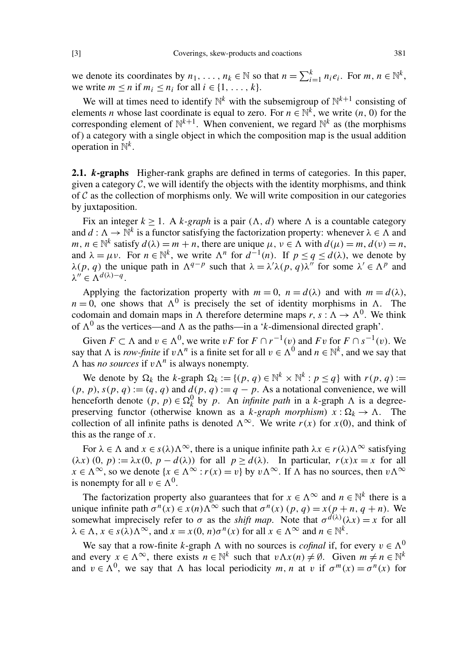we denote its coordinates by  $n_1, \ldots, n_k \in \mathbb{N}$  so that  $n = \sum_{i=1}^k n_i e_i$ . For  $m, n \in \mathbb{N}^k$ , we write  $m \le n$  if  $m_i \le n_i$  for all  $i \in \{1, \ldots, k\}$ .

We will at times need to identify  $\mathbb{N}^k$  with the subsemigroup of  $\mathbb{N}^{k+1}$  consisting of elements *n* whose last coordinate is equal to zero. For  $n \in \mathbb{N}^k$ , we write  $(n, 0)$  for the corresponding element of  $\mathbb{N}^{k+1}$ . When convenient, we regard  $\mathbb{N}^k$  as (the morphisms of ) a category with a single object in which the composition map is the usual addition operation in N *k* .

2.1. *k*-graphs Higher-rank graphs are defined in terms of categories. In this paper, given a category  $C$ , we will identify the objects with the identity morphisms, and think of  $C$  as the collection of morphisms only. We will write composition in our categories by juxtaposition.

Fix an integer  $k \geq 1$ . A *k*-graph is a pair  $(\Lambda, d)$  where  $\Lambda$  is a countable category and  $d : \Lambda \to \mathbb{N}^k$  is a functor satisfying the factorization property: whenever  $\lambda \in \Lambda$  and  $m, n \in \mathbb{N}^k$  satisfy  $d(\lambda) = m + n$ , there are unique  $\mu, \nu \in \Lambda$  with  $d(\mu) = m, d(\nu) = n$ , and  $\lambda = \mu \nu$ . For  $n \in \mathbb{N}^k$ , we write  $\Lambda^n$  for  $d^{-1}(n)$ . If  $p \le q \le d(\lambda)$ , we denote by  $\lambda(p, q)$  the unique path in  $\Lambda^{q-p}$  such that  $\lambda = \lambda' \lambda(p, q) \lambda''$  for some  $\lambda' \in \Lambda^p$  and  $\lambda'' \in \Lambda^{d(\lambda)-q}$ .

Applying the factorization property with  $m = 0$ ,  $n = d(\lambda)$  and with  $m = d(\lambda)$ ,  $n = 0$ , one shows that  $\Lambda^0$  is precisely the set of identity morphisms in  $\Lambda$ . The codomain and domain maps in  $\Lambda$  therefore determine maps  $r, s : \Lambda \to \Lambda^0$ . We think of  $\Lambda^0$  as the vertices—and  $\Lambda$  as the paths—in a '*k*-dimensional directed graph'.

Given  $F \subset \Lambda$  and  $v \in \Lambda^0$ , we write  $vF$  for  $F \cap r^{-1}(v)$  and  $Fv$  for  $F \cap s^{-1}(v)$ . We say that  $\Lambda$  is *row-finite* if  $v\Lambda^n$  is a finite set for all  $v \in \Lambda^0$  and  $n \in \mathbb{N}^k$ , and we say that  $\Lambda$  has *no sources* if  $v \Lambda^n$  is always nonempty.

We denote by  $\Omega_k$  the *k*-graph  $\Omega_k := \{(p, q) \in \mathbb{N}^k \times \mathbb{N}^k : p \leq q\}$  with  $r(p, q) :=$  $(p, p)$ ,  $s(p, q) := (q, q)$  and  $d(p, q) := q - p$ . As a notational convenience, we will henceforth denote  $(p, p) \in \Omega_k^0$  by *p*. An *infinite path* in a *k*-graph  $\Lambda$  is a degreepreserving functor (otherwise known as a *k-graph morphism*)  $x : \Omega_k \to \Lambda$ . The collection of all infinite paths is denoted  $\Lambda^{\infty}$ . We write *r*(*x*) for *x*(0), and think of this as the range of *x*.

For  $\lambda \in \Lambda$  and  $x \in s(\lambda)\Lambda^{\infty}$ , there is a unique infinite path  $\lambda x \in r(\lambda)\Lambda^{\infty}$  satisfying  $(\lambda x)(0, p) := \lambda x(0, p - d(\lambda))$  for all  $p > d(\lambda)$ . In particular,  $r(x)x = x$  for all  $x \in \Lambda^{\infty}$ , so we denote  $\{x \in \Lambda^{\infty} : r(x) = v\}$  by  $v \Lambda^{\infty}$ . If  $\Lambda$  has no sources, then  $v \Lambda^{\infty}$ is nonempty for all  $v \in \Lambda^0$ .

The factorization property also guarantees that for  $x \in \Lambda^{\infty}$  and  $n \in \mathbb{N}^k$  there is a unique infinite path  $\sigma^n(x) \in x(n) \Lambda^\infty$  such that  $\sigma^n(x)$   $(p, q) = x(p + n, q + n)$ . We somewhat imprecisely refer to  $\sigma$  as the *shift map*. Note that  $\sigma^{d(\lambda)}(\lambda x) = x$  for all  $\lambda \in \Lambda$ ,  $x \in s(\lambda)\Lambda^{\infty}$ , and  $x = x(0, n)\sigma^{n}(x)$  for all  $x \in \Lambda^{\infty}$  and  $n \in \mathbb{N}^{k}$ .

We say that a row-finite *k*-graph  $\Lambda$  with no sources is *cofinal* if, for every  $v \in \Lambda^0$ and every  $x \in \Lambda^{\infty}$ , there exists  $n \in \mathbb{N}^k$  such that  $v \Lambda x(n) \neq \emptyset$ . Given  $m \neq n \in \mathbb{N}^k$ and  $v \in \Lambda^0$ , we say that  $\Lambda$  has local periodicity *m*, *n* at v if  $\sigma^m(x) = \sigma^n(x)$  for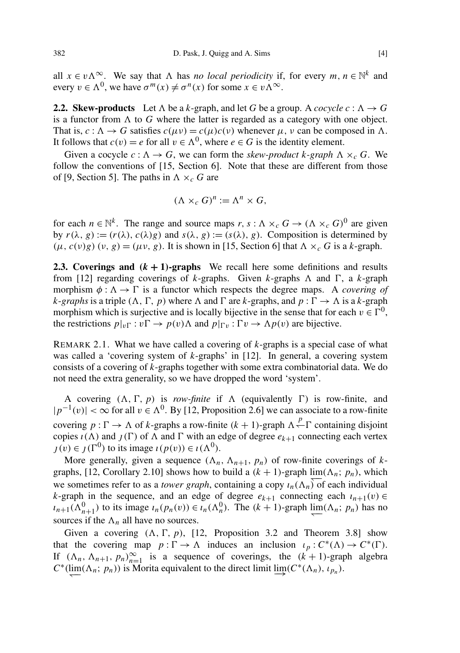all  $x \in v\Lambda^{\infty}$ . We say that  $\Lambda$  has *no local periodicity* if, for every  $m, n \in \mathbb{N}^k$  and every  $v \in \Lambda^0$ , we have  $\sigma^m(x) \neq \sigma^n(x)$  for some  $x \in v \Lambda^\infty$ .

**2.2. Skew-products** Let  $\Lambda$  be a *k*-graph, and let *G* be a group. A *cocycle c* :  $\Lambda \to G$ is a functor from  $\Lambda$  to *G* where the latter is regarded as a category with one object. That is,  $c : \Lambda \to G$  satisfies  $c(\mu \nu) = c(\mu)c(\nu)$  whenever  $\mu$ ,  $\nu$  can be composed in  $\Lambda$ . It follows that  $c(v) = e$  for all  $v \in \Lambda^0$ , where  $e \in G$  is the identity element.

Given a cocycle  $c : \Lambda \to G$ , we can form the *skew-product k-graph*  $\Lambda \times_c G$ . We follow the conventions of [\[15,](#page-19-0) Section 6]. Note that these are different from those of [\[9,](#page-19-5) Section 5]. The paths in  $\Lambda \times_c G$  are

$$
(\Lambda \times_c G)^n := \Lambda^n \times G,
$$

for each  $n \in \mathbb{N}^k$ . The range and source maps  $r, s : \Lambda \times_c G \to (\Lambda \times_c G)^0$  are given by  $r(\lambda, g) := (r(\lambda), c(\lambda)g)$  and  $s(\lambda, g) := (s(\lambda), g)$ . Composition is determined by  $(\mu, c(\nu)g)(\nu, g) = (\mu \nu, g)$ . It is shown in [\[15,](#page-19-0) Section 6] that  $\Lambda \times_c G$  is a *k*-graph.

<span id="page-3-0"></span>**2.3. Coverings and**  $(k + 1)$ **-graphs** We recall here some definitions and results from [\[12\]](#page-19-1) regarding coverings of *k*-graphs. Given *k*-graphs  $\Lambda$  and  $\Gamma$ , a *k*-graph morphism  $\phi : \Lambda \to \Gamma$  is a functor which respects the degree maps. A *covering of k*-*graphs* is a triple  $(\Lambda, \Gamma, p)$  where  $\Lambda$  and  $\Gamma$  are *k*-graphs, and  $p : \Gamma \to \Lambda$  is a *k*-graph morphism which is surjective and is locally bijective in the sense that for each  $v \in \Gamma^0$ , the restrictions  $p|_{v\Gamma}: v\Gamma \to p(v)\Lambda$  and  $p|_{\Gamma v}:\Gamma v \to \Lambda p(v)$  are bijective.

REMARK 2.1. What we have called a covering of *k*-graphs is a special case of what was called a 'covering system of *k*-graphs' in [\[12\]](#page-19-1). In general, a covering system consists of a covering of *k*-graphs together with some extra combinatorial data. We do not need the extra generality, so we have dropped the word 'system'.

A covering  $(\Lambda, \Gamma, p)$  is *row-finite* if  $\Lambda$  (equivalently  $\Gamma$ ) is row-finite, and  $|p^{-1}(v)| < \infty$  for all  $v \in \Lambda^0$ . By [\[12,](#page-19-1) Proposition 2.6] we can associate to a row-finite covering  $p : \Gamma \to \Lambda$  of *k*-graphs a row-finite  $(k + 1)$ -graph  $\Lambda \stackrel{p}{\leftarrow} \Gamma$  containing disjoint copies  $\iota(\Lambda)$  and  $\iota(\Gamma)$  of  $\Lambda$  and  $\Gamma$  with an edge of degree  $e_{k+1}$  connecting each vertex  $j(v) \in j(\Gamma^0)$  to its image  $\iota(p(v)) \in \iota(\Lambda^0)$ .

More generally, given a sequence  $(\Lambda_n, \Lambda_{n+1}, p_n)$  of row-finite coverings of *k*-graphs, [\[12,](#page-19-1) Corollary 2.10] shows how to build a  $(k + 1)$ -graph  $\lim_{n \to \infty} (\Lambda_n; p_n)$ , which we sometimes refer to as a *tower graph*, containing a copy  $\iota_n(\Lambda_n)$  of each individual *k*-graph in the sequence, and an edge of degree  $e_{k+1}$  connecting each  $i_{n+1}(v) \in$  $i_{n+1}(\Lambda_{n+1}^0)$  to its image  $i_n(p_n(v)) \in i_n(\Lambda_n^0)$ . The  $(k+1)$ -graph  $\lim_{h \to \infty} (\Lambda_n; p_n)$  has no sources if the  $\Lambda_n$  all have no sources.

Given a covering  $(\Lambda, \Gamma, p)$ , [\[12,](#page-19-1) Proposition 3.2 and Theorem 3.8] show that the covering map  $p : \Gamma \to \Lambda$  induces an inclusion  $\iota_p : C^*(\Lambda) \to C^*(\Gamma)$ . If  $(\Lambda_n, \Lambda_{n+1}, p_n)_{n=1}^{\infty}$  is a sequence of coverings, the  $(k+1)$ -graph algebra  $C^*$ ( $\lim_{n \to \infty} (\Lambda_n; p_n)$ ) is Morita equivalent to the direct limit  $\lim_{n \to \infty} (C^*(\Lambda_n), \iota_{p_n})$ .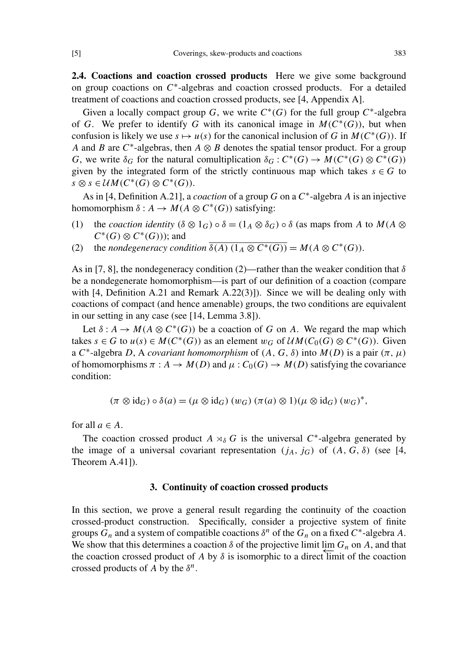2.4. Coactions and coaction crossed products Here we give some background on group coactions on  $C^*$ -algebras and coaction crossed products. For a detailed treatment of coactions and coaction crossed products, see [\[4,](#page-19-6) Appendix A].

Given a locally compact group *G*, we write  $C^*(G)$  for the full group  $C^*$ -algebra of *G*. We prefer to identify *G* with its canonical image in  $M(C^*(G))$ , but when confusion is likely we use  $s \mapsto u(s)$  for the canonical inclusion of *G* in  $M(C^*(G))$ . If *A* and *B* are  $C^*$ -algebras, then  $A \otimes B$  denotes the spatial tensor product. For a group *G*, we write  $\delta_G$  for the natural comultiplication  $\delta_G : C^*(G) \to M(C^*(G) \otimes C^*(G))$ given by the integrated form of the strictly continuous map which takes  $s \in G$  to  $s \otimes s \in \mathcal{U}M(C^*(G) \otimes C^*(G)).$ 

As in [\[4,](#page-19-6) Definition A.21], a *coaction* of a group *G* on a *C* ∗ -algebra *A* is an injective homomorphism  $\delta: A \to M(A \otimes C^*(G))$  satisfying:

- (1) the *coaction identity*  $(\delta \otimes 1_G) \circ \delta = (1_A \otimes \delta_G) \circ \delta$  (as maps from *A* to  $M(A \otimes$  $C^*(G) \otimes C^*(G)$ ); and
- (2) the *nondegeneracy condition*  $\overline{\delta(A) (1_A \otimes C^*(G))} = M(A \otimes C^*(G)).$

As in [\[7,](#page-19-7) [8\]](#page-19-8), the nondegeneracy condition (2)—rather than the weaker condition that  $\delta$ be a nondegenerate homomorphism—is part of our definition of a coaction (compare with [\[4,](#page-19-6) Definition A.21 and Remark A.22(3)]). Since we will be dealing only with coactions of compact (and hence amenable) groups, the two conditions are equivalent in our setting in any case (see [\[14,](#page-19-9) Lemma 3.8]).

Let  $\delta: A \to M(A \otimes C^*(G))$  be a coaction of *G* on *A*. We regard the map which takes  $s \in G$  to  $u(s) \in M(C^*(G))$  as an element  $w_G$  of  $\mathcal{U}M(C_0(G) \otimes C^*(G))$ . Given a  $C^*$ -algebra *D*, A *covariant homomorphism* of  $(A, G, \delta)$  into  $M(D)$  is a pair  $(\pi, \mu)$ of homomorphisms  $\pi : A \to M(D)$  and  $\mu : C_0(G) \to M(D)$  satisfying the covariance condition:

$$
(\pi \otimes id_G) \circ \delta(a) = (\mu \otimes id_G) (w_G) (\pi(a) \otimes 1) (\mu \otimes id_G) (w_G)^*,
$$

for all  $a \in A$ .

The coaction crossed product  $A \rtimes_{\delta} G$  is the universal  $C^*$ -algebra generated by the image of a universal covariant representation  $(j_A, j_G)$  of  $(A, G, \delta)$  (see [\[4,](#page-19-6) Theorem A.41]).

### 3. Continuity of coaction crossed products

In this section, we prove a general result regarding the continuity of the coaction crossed-product construction. Specifically, consider a projective system of finite groups  $G_n$  and a system of compatible coactions  $\delta^n$  of the  $G_n$  on a fixed  $C^*$ -algebra A. We show that this determines a coaction  $\delta$  of the projective limit lim  $G_n$  on  $A$ , and that the coaction crossed product of *A* by  $\delta$  is isomorphic to a direct limit of the coaction crossed products of *A* by the  $\delta^n$ .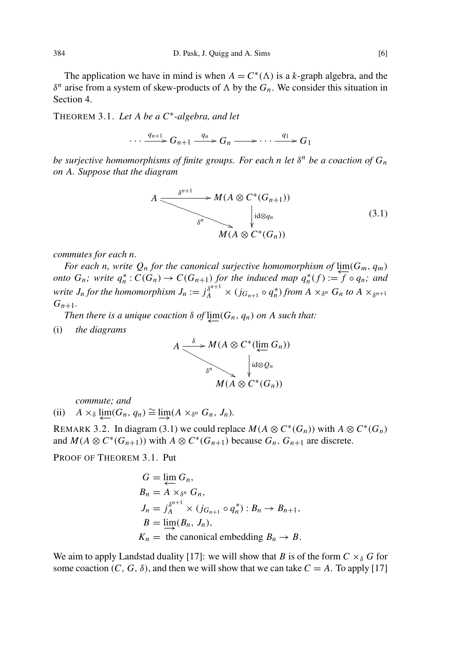The application we have in mind is when  $A = C^*(\Lambda)$  is a *k*-graph algebra, and the  $δ<sup>n</sup>$  arise from a system of skew-products of Λ by the *G<sub>n</sub>*. We consider this situation in Section [4.](#page-10-0)

<span id="page-5-0"></span>THEOREM 3.1. *Let A be a C*<sup>∗</sup> *-algebra, and let*

 $\cdots \xrightarrow{q_{n+1}} G_{n+1} \xrightarrow{q_n} G_n \longrightarrow \cdots \xrightarrow{q_1} G_1$ 

*be surjective homomorphisms of finite groups. For each n let* δ *<sup>n</sup> be a coaction of G<sup>n</sup> on A. Suppose that the diagram*

<span id="page-5-1"></span>
$$
A \xrightarrow{\delta^{n+1}} M(A \otimes C^*(G_{n+1}))
$$
\n
$$
\downarrow id \otimes q_n
$$
\n
$$
M(A \otimes C^*(G_n))
$$
\n
$$
(3.1)
$$

*commutes for each n.*

*For each n, write*  $Q_n$  *for the canonical surjective homomorphism of*  $\lim_{n \to \infty} (G_m, q_m)$ *onto*  $G_n$ ; write  $q_n^*$ :  $C(G_n) \to C(G_{n+1})$  *for the induced map*  $q_n^*(f) := \overline{f} \circ q_n$ ; and write  $J_n$  for the homomorphism  $J_n := j_A^{\delta^{n+1}} \times (j_{G_{n+1}} \circ q_n^*)$  from  $A \times_{\delta^n} G_n$  to  $A \times_{\delta^{n+1}}$  $G_{n+1}$ .

*Then there is a unique coaction*  $\delta$  *of*  $\varprojlim(G_n, q_n)$  *on A such that:* 

(i) *the diagrams*

$$
A \longrightarrow M(A \otimes C^*(\lim_{\epsilon} G_n))
$$
  
\n
$$
\downarrow \text{id} \otimes Q_n
$$
  
\n
$$
M(A \otimes C^*(G_n))
$$

*commute; and*

 $(iii)$  *A* ×<sub>δ</sub>  $\downarrow \underline{\text{lim}}(G_n, q_n) \cong \underline{\lim} (A \times_{\delta^n} G_n, J_n).$ 

REMARK 3.2. In diagram [\(3.1\)](#page-5-1) we could replace  $M(A \otimes C^*(G_n))$  with  $A \otimes C^*(G_n)$ and  $M(A \otimes C^*(G_{n+1}))$  with  $A \otimes C^*(G_{n+1})$  because  $G_n$ ,  $G_{n+1}$  are discrete.

PROOF OF THEOREM [3.1.](#page-5-0) Put

$$
G = \varprojlim_{n} G_n,
$$
  
\n
$$
B_n = A \times_{\delta^n} G_n,
$$
  
\n
$$
J_n = j_A^{\delta^{n+1}} \times (j_{G_{n+1}} \circ q_n^*) : B_n \to B_{n+1},
$$
  
\n
$$
B = \varinjlim_{n} (B_n, J_n),
$$
  
\n
$$
K_n = \text{the canonical embedding } B_n \to B.
$$

We aim to apply Landstad duality [\[17\]](#page-19-10): we will show that *B* is of the form  $C \times_{\delta} G$  for some coaction  $(C, G, \delta)$ , and then we will show that we can take  $C = A$ . To apply [\[17\]](#page-19-10)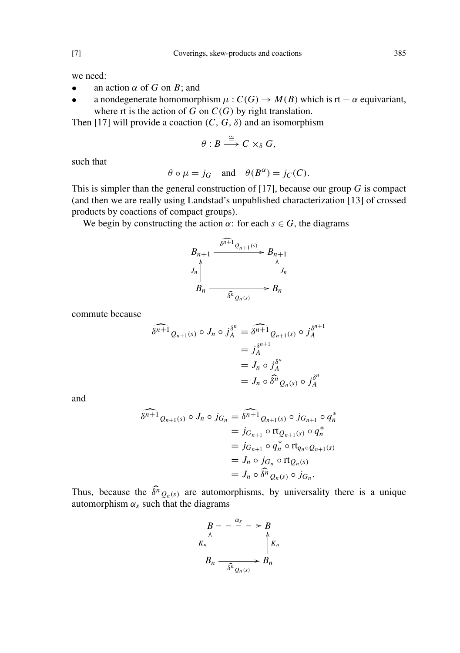we need:

- an action  $\alpha$  of  $G$  on  $B$ ; and
- a nondegenerate homomorphism  $\mu$ :  $C(G) \rightarrow M(B)$  which is rt  $\alpha$  equivariant, where rt is the action of  $G$  on  $C(G)$  by right translation.

Then [\[17\]](#page-19-10) will provide a coaction  $(C, G, \delta)$  and an isomorphism

$$
\theta: B \stackrel{\cong}{\longrightarrow} C \times_{\delta} G,
$$

such that

$$
\theta \circ \mu = j_G
$$
 and  $\theta(B^{\alpha}) = j_C(C)$ .

This is simpler than the general construction of [\[17\]](#page-19-10), because our group *G* is compact (and then we are really using Landstad's unpublished characterization [\[13\]](#page-19-11) of crossed products by coactions of compact groups).

We begin by constructing the action  $\alpha$ : for each  $s \in G$ , the diagrams

$$
B_{n+1} \xrightarrow{\delta^{n+1} Q_{n+1}(s)} B_{n+1}
$$
  

$$
J_n \uparrow f_n
$$
  

$$
B_n \xrightarrow{\delta^n Q_n(s)} B_n
$$

commute because

$$
\begin{aligned}\n\widehat{\delta^{n+1}} \, & \rho_{n+1}(s) \circ J_n \circ j_A^{\delta^n} = \widehat{\delta^{n+1}} \, & \rho_{n+1}(s) \circ j_A^{\delta^{n+1}} \\
&= j_A^{\delta^{n+1}} \\
&= J_n \circ j_A^{\delta^n} \\
&= J_n \circ \widehat{\delta^n} \, & \rho_n(s) \circ j_A^{\delta^n}\n\end{aligned}
$$

and

$$
\begin{aligned}\n\widehat{\delta^{n+1}} \, & \, Q_{n+1}(s) \circ J_n \circ j_{G_n} = \widehat{\delta^{n+1}} \, Q_{n+1}(s) \circ j_{G_{n+1}} \circ q_n^* \\
&= j_{G_{n+1}} \circ \text{rt}_{Q_{n+1}}(s) \circ q_n^* \\
&= j_{G_{n+1}} \circ q_n^* \circ \text{rt}_{q_n \circ Q_{n+1}}(s) \\
&= J_n \circ j_{G_n} \circ \text{rt}_{Q_n(s)} \\
&= J_n \circ \widehat{\delta^n} \, Q_n(s) \circ j_{G_n}.\n\end{aligned}
$$

Thus, because the  $\delta^n Q_n(s)$  are automorphisms, by universality there is a unique automorphism  $\alpha_s$  such that the diagrams

$$
B - -\frac{\alpha_s}{\alpha} - \frac{B}{\alpha} \\
K_n \uparrow \qquad \qquad \uparrow K_n \\
B_n \xrightarrow{\delta^n} g_{n(s)} \rightarrow B_n
$$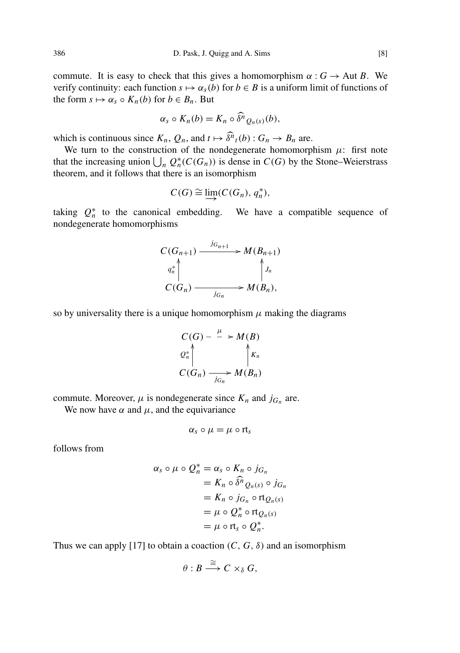commute. It is easy to check that this gives a homomorphism  $\alpha : G \to \text{Aut } B$ . We verify continuity: each function  $s \mapsto \alpha_s(b)$  for  $b \in B$  is a uniform limit of functions of the form  $s \mapsto \alpha_s \circ K_n(b)$  for  $b \in B_n$ . But

$$
\alpha_s \circ K_n(b) = K_n \circ \widehat{\delta}^n \mathcal{Q}_{n}(s)(b),
$$

which is continuous since  $K_n$ ,  $Q_n$ , and  $t \mapsto \widehat{\delta^n}_t(b) : G_n \to B_n$  are.

We turn to the construction of the nondegenerate homomorphism  $\mu$ : first note that the increasing union  $\bigcup_n Q_n^*(C(G_n))$  is dense in  $C(G)$  by the Stone–Weierstrass theorem, and it follows that there is an isomorphism

$$
C(G) \cong \varinjlim (C(G_n), q_n^*),
$$

taking  $Q_n^*$  to the canonical embedding. We have a compatible sequence of nondegenerate homomorphisms

$$
C(G_{n+1}) \xrightarrow{j_{G_{n+1}}} M(B_{n+1})
$$
  
\n
$$
q_n^* \downarrow \qquad \qquad \downarrow J_n
$$
  
\n
$$
C(G_n) \xrightarrow{j_{G_n}} M(B_n),
$$

so by universality there is a unique homomorphism  $\mu$  making the diagrams

$$
C(G) - \xrightarrow{\mu} M(B)
$$
  
\n
$$
Q_n^* \wedge \qquad \qquad \wedge K_n
$$
  
\n
$$
C(G_n) \xrightarrow[j]{} G_n \wedge M(B_n)
$$

commute. Moreover,  $\mu$  is nondegenerate since  $K_n$  and  $j_{G_n}$  are.

We now have  $\alpha$  and  $\mu$ , and the equivariance

$$
\alpha_s \circ \mu = \mu \circ rt_s
$$

follows from

$$
\alpha_s \circ \mu \circ Q_n^* = \alpha_s \circ K_n \circ j_{G_n}
$$
  
=  $K_n \circ \widehat{\delta}^n Q_{n(s)} \circ j_{G_n}$   
=  $K_n \circ j_{G_n} \circ \text{rt}_{Q_n(s)}$   
=  $\mu \circ Q_n^* \circ \text{rt}_{Q_n(s)}$   
=  $\mu \circ \text{rt}_s \circ Q_n^*$ .

Thus we can apply [\[17\]](#page-19-10) to obtain a coaction  $(C, G, \delta)$  and an isomorphism

$$
\theta: B \stackrel{\cong}{\longrightarrow} C \times_{\delta} G,
$$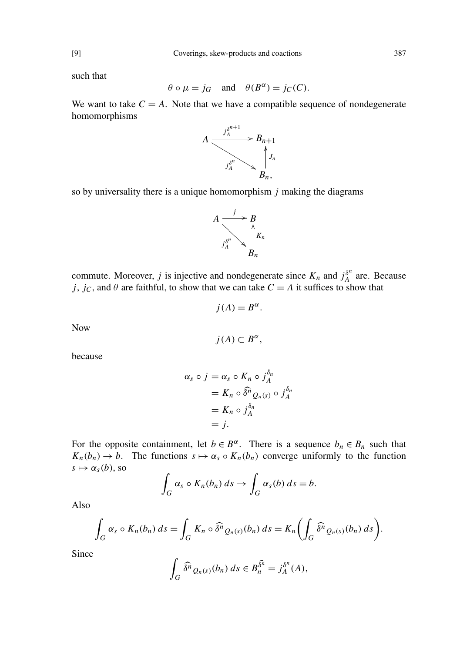such that

$$
\theta \circ \mu = j_G
$$
 and  $\theta(B^{\alpha}) = j_C(C)$ .

We want to take  $C = A$ . Note that we have a compatible sequence of nondegenerate homomorphisms



so by universality there is a unique homomorphism *j* making the diagrams



commute. Moreover, *j* is injective and nondegenerate since  $K_n$  and  $j_A^{\delta^n}$  $\int_A^{\delta^n}$  are. Because *j*, *j<sub>C</sub>*, and  $\theta$  are faithful, to show that we can take  $C = A$  it suffices to show that

$$
j(A) = B^{\alpha}.
$$

Now

$$
j(A) \subset B^{\alpha},
$$

because

$$
\alpha_s \circ j = \alpha_s \circ K_n \circ j_A^{\delta_n}
$$
  
=  $K_n \circ \widehat{\delta}^n Q_n(s) \circ j_A^{\delta_n}$   
=  $K_n \circ j_A^{\delta_n}$   
=  $j$ .

For the opposite containment, let  $b \in B^{\alpha}$ . There is a sequence  $b_n \in B_n$  such that  $K_n(b_n) \to b$ . The functions  $s \mapsto \alpha_s \circ K_n(b_n)$  converge uniformly to the function  $s \mapsto \alpha_s(b)$ , so

$$
\int_G \alpha_s \circ K_n(b_n) \, ds \to \int_G \alpha_s(b) \, ds = b.
$$

Also

$$
\int_G \alpha_s \circ K_n(b_n) \, ds = \int_G K_n \circ \widehat{\delta^n} \, Q_n(s)(b_n) \, ds = K_n \bigg( \int_G \widehat{\delta^n} \, Q_n(s)(b_n) \, ds \bigg).
$$

Since

$$
\int_G \widehat{\delta^n} \, Q_n(s)(b_n) \, ds \in B_n^{\widehat{\delta^n}} = j_A^{\delta^n}(A),
$$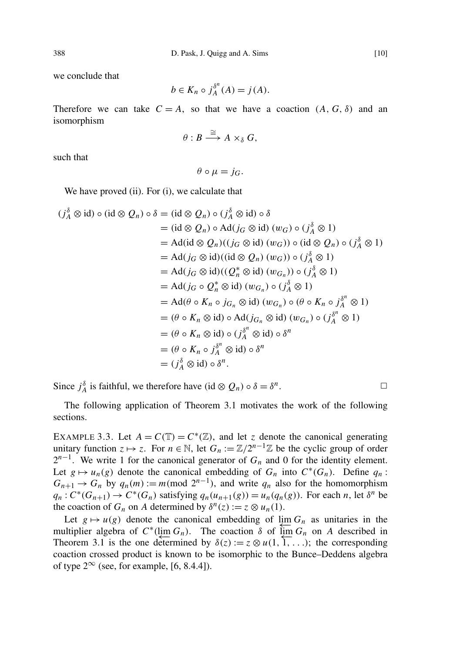we conclude that

$$
b \in K_n \circ j_A^{\delta^n}(A) = j(A).
$$

Therefore we can take  $C = A$ , so that we have a coaction  $(A, G, \delta)$  and an isomorphism

$$
\theta: B \stackrel{\cong}{\longrightarrow} A \times_{\delta} G,
$$

such that

 $\theta \circ \mu = i_G$ .

We have proved (ii). For (i), we calculate that

$$
(j_A^{\delta} \otimes id) \circ (id \otimes Q_n) \circ \delta = (id \otimes Q_n) \circ (j_A^{\delta} \otimes id) \circ \delta
$$
  
\n
$$
= (id \otimes Q_n) \circ Ad(j_G \otimes id) (w_G) \circ (j_A^{\delta} \otimes 1)
$$
  
\n
$$
= Ad(id \otimes Q_n)((j_G \otimes id) (w_G)) \circ (id \otimes Q_n) \circ (j_A^{\delta} \otimes 1)
$$
  
\n
$$
= Ad(j_G \otimes id)((id \otimes Q_n) (w_G)) \circ (j_A^{\delta} \otimes 1)
$$
  
\n
$$
= Ad(j_G \otimes id)((Q_n^* \otimes id) (w_{G_n})) \circ (j_A^{\delta} \otimes 1)
$$
  
\n
$$
= Ad(j_G \circ Q_n^* \otimes id) (w_{G_n}) \circ (j_A^{\delta} \otimes 1)
$$
  
\n
$$
= Ad(\theta \circ K_n \circ j_{G_n} \otimes id) (w_{G_n}) \circ (\theta \circ K_n \circ j_A^{\delta^n} \otimes 1)
$$
  
\n
$$
= (\theta \circ K_n \otimes id) \circ Ad(j_{G_n} \otimes id) (w_{G_n}) \circ (j_A^{\delta^n} \otimes 1)
$$
  
\n
$$
= (\theta \circ K_n \otimes id) \circ (j_A^{\delta^n} \otimes id) \circ \delta^n
$$
  
\n
$$
= (\theta \circ K_n \circ j_A^{\delta^n} \otimes id) \circ \delta^n
$$
  
\n
$$
= (j_A^{\delta} \otimes id) \circ \delta^n.
$$

Since  $j_A^{\delta}$  is faithful, we therefore have (id  $\otimes Q_n$ )  $\circ \delta = \delta^n$ .  $\Box$ 

The following application of Theorem [3.1](#page-5-0) motivates the work of the following sections.

<span id="page-9-0"></span>EXAMPLE 3.3. Let  $A = C(\mathbb{T}) = C^*(\mathbb{Z})$ , and let *z* denote the canonical generating unitary function  $z \mapsto z$ . For  $n \in \mathbb{N}$ , let  $G_n := \mathbb{Z}/2^{n-1}\mathbb{Z}$  be the cyclic group of order  $2^{n-1}$ . We write 1 for the canonical generator of  $G_n$  and 0 for the identity element. Let  $g \mapsto u_n(g)$  denote the canonical embedding of  $G_n$  into  $C^*(G_n)$ . Define  $q_n$ :  $G_{n+1} \to G_n$  by  $q_n(m) := m \pmod{2^{n-1}}$ , and write  $q_n$  also for the homomorphism  $q_n: C^*(G_{n+1}) \to C^*(G_n)$  satisfying  $q_n(u_{n+1}(g)) = u_n(q_n(g))$ . For each n, let  $\delta^n$  be the coaction of  $G_n$  on *A* determined by  $\delta^n(z) := z \otimes u_n(1)$ .

Let  $g \mapsto u(g)$  denote the canonical embedding of  $\lim_{h \to 0} G_h$  as unitaries in the multiplier algebra of  $C^*$ (lim  $G_n$ ). The coaction  $\delta$  of  $\overline{\lim}_{n \to \infty} G_n$  on *A* described in Theorem [3.1](#page-5-0) is the one determined by  $\delta(z) := z \otimes u(1, 1, ...)$ ; the corresponding coaction crossed product is known to be isomorphic to the Bunce–Deddens algebra of type  $2^{\infty}$  (see, for example, [\[6,](#page-19-12) 8.4.4]).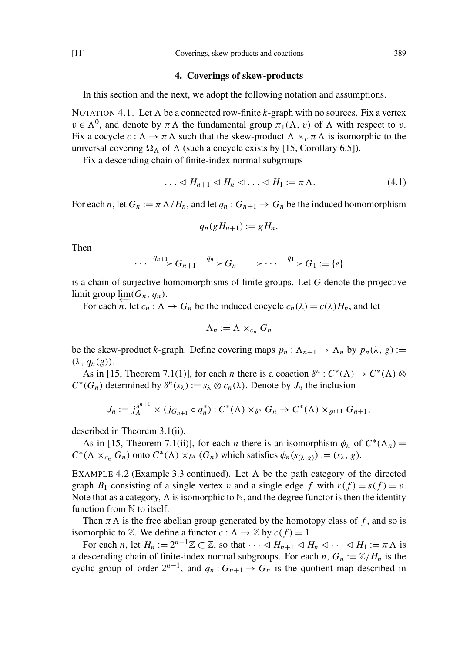### 4. Coverings of skew-products

<span id="page-10-0"></span>In this section and the next, we adopt the following notation and assumptions.

<span id="page-10-1"></span>NOTATION 4.1. Let  $\Lambda$  be a connected row-finite *k*-graph with no sources. Fix a vertex  $v \in \Lambda^0$ , and denote by  $\pi \Lambda$  the fundamental group  $\pi_1(\Lambda, v)$  of  $\Lambda$  with respect to v. Fix a cocycle  $c : \Lambda \to \pi \Lambda$  such that the skew-product  $\Lambda \times_c \pi \Lambda$  is isomorphic to the universal covering  $\Omega_{\Lambda}$  of  $\Lambda$  (such a cocycle exists by [\[15,](#page-19-0) Corollary 6.5]).

Fix a descending chain of finite-index normal subgroups

$$
\ldots \lhd H_{n+1} \lhd H_n \lhd \ldots \lhd H_1 := \pi \Lambda. \tag{4.1}
$$

For each *n*, let  $G_n := \pi \Lambda / H_n$ , and let  $q_n : G_{n+1} \to G_n$  be the induced homomorphism

$$
q_n(gH_{n+1}) := gH_n.
$$

Then

 $\cdots \xrightarrow{q_{n+1}} G_{n+1} \xrightarrow{q_n} G_n \longrightarrow \cdots \xrightarrow{q_1} G_1 := \{e\}$ 

is a chain of surjective homomorphisms of finite groups. Let *G* denote the projective limit group  $\varprojlim(G_n, q_n)$ .

For each  $\overline{n}$ , let  $c_n : \Lambda \to G_n$  be the induced cocycle  $c_n(\lambda) = c(\lambda)H_n$ , and let

$$
\Lambda_n := \Lambda \times_{c_n} G_n
$$

be the skew-product *k*-graph. Define covering maps  $p_n : \Lambda_{n+1} \to \Lambda_n$  by  $p_n(\lambda, g) :=$  $(\lambda, q_n(g))$ .

As in [\[15,](#page-19-0) Theorem 7.1(1)], for each *n* there is a coaction  $\delta^n$ :  $C^*(\Lambda) \to C^*(\Lambda) \otimes$  $C^*(G_n)$  determined by  $\delta^n(s_\lambda) := s_\lambda \otimes c_n(\lambda)$ . Denote by  $J_n$  the inclusion

$$
J_n := j_A^{\delta^{n+1}} \times (j_{G_{n+1}} \circ q_n^*) : C^*(\Lambda) \times_{\delta^n} G_n \to C^*(\Lambda) \times_{\delta^{n+1}} G_{n+1},
$$

described in Theorem [3.1\(](#page-5-0)ii).

As in [\[15,](#page-19-0) Theorem 7.1(ii)], for each *n* there is an isomorphism  $\phi_n$  of  $C^*(\Lambda_n)$  =  $C^*(\Lambda \times_{c_n} G_n)$  onto  $C^*(\Lambda) \times_{\delta^n} (G_n)$  which satisfies  $\phi_n(s_{(\lambda,g)}) := (s_{\lambda}, g)$ .

<span id="page-10-2"></span>EXAMPLE 4.2 (Example [3.3](#page-9-0) continued). Let  $\Lambda$  be the path category of the directed graph  $B_1$  consisting of a single vertex v and a single edge f with  $r(f) = s(f) = v$ . Note that as a category,  $\Lambda$  is isomorphic to  $\mathbb{N}$ , and the degree functor is then the identity function from  $\mathbb N$  to itself.

Then  $\pi \Lambda$  is the free abelian group generated by the homotopy class of *f*, and so is isomorphic to  $\mathbb{Z}$ . We define a functor  $c : \Lambda \to \mathbb{Z}$  by  $c(f) = 1$ .

For each *n*, let  $H_n := 2^{n-1}\mathbb{Z} \subset \mathbb{Z}$ , so that  $\cdots \langle H_{n+1} \langle H_n \rangle \langle H_1 \rangle = \pi \Lambda$  is a descending chain of finite-index normal subgroups. For each  $n$ ,  $G_n := \mathbb{Z}/H_n$  is the cyclic group of order  $2^{n-1}$ , and  $q_n$ :  $G_{n+1} \to G_n$  is the quotient map described in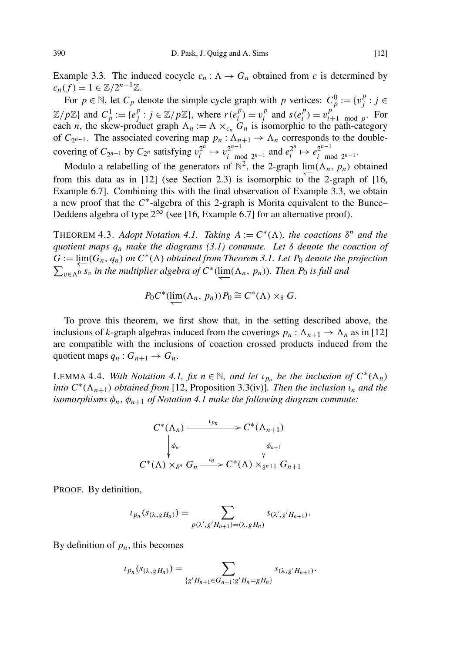Example [3.3.](#page-9-0) The induced cocycle  $c_n : \Lambda \to G_n$  obtained from *c* is determined by  $c_n(f) = 1 \in \mathbb{Z}/2^{n-1}\mathbb{Z}.$ 

For  $p \in \mathbb{N}$ , let  $C_p$  denote the simple cycle graph with p vertices:  $C_p^0 := \{v_j^p\}$  $j^p$  : *j* ∈  $\mathbb{Z}/p\mathbb{Z}$  and  $C_p^1 := \{e_j^p\}$  $j^p$ :  $j \in \mathbb{Z}/p\mathbb{Z}$ , where  $r(e_i^p)$  $v_i^p$ ) =  $v_i^p$  $\int_i^p$  and  $s(e_i^p)$  $v_i^p$ ) =  $v_i^p$  $p_i^p$ <sub>*i*+1</sub> mod *p*. For each *n*, the skew-product graph  $\Lambda_n := \Lambda \times_{c_n} G_n$  is isomorphic to the path-category of  $C_{2^{n-1}}$ . The associated covering map  $p_n : \Lambda_{n+1} \to \Lambda_n$  corresponds to the doublecovering of  $C_{2^{n-1}}$  by  $C_{2^n}$  satisfying  $v_i^{2^n}$  $v_i^{2^n} \mapsto v_{i \text{me}}^{2^{n-1}}$  $e_i^{2^{n-1}}$  and  $e_i^{2^n}$  $e_i^{2^n} \mapsto e_{i-m}^{2^{n-1}}$  $\int_{i}^{2^{n-1}}$  mod  $2^{n-1}$ 

Modulo a relabelling of the generators of  $\mathbb{N}^2$ , the 2-graph  $\lim_{n \to \infty} (\Lambda_n, p_n)$  obtained from this data as in  $[12]$  (see Section [2.3\)](#page-3-0) is isomorphic to the 2-graph of  $[16, 16]$  $[16, 16]$ Example 6.7]. Combining this with the final observation of Example [3.3,](#page-9-0) we obtain a new proof that the  $C^*$ -algebra of this 2-graph is Morita equivalent to the Bunce– Deddens algebra of type  $2^{\infty}$  (see [\[16,](#page-19-13) Example 6.7] for an alternative proof).

<span id="page-11-0"></span>THEOREM 4.3. *Adopt Notation [4.1.](#page-10-1) Taking*  $A := C^*(\Lambda)$ *, the coactions*  $\delta^n$  *and the quotient maps q<sup>n</sup> make the diagrams [\(3.1\)](#page-5-1) commute. Let* δ *denote the coaction of*  $G := \varprojlim(G_n, q_n)$  *on*  $C^*(\Lambda)$  *obtained from Theorem* [3.1.](#page-5-0) Let  $P_0$  *denote the projection*  $\sum_{v \in \Lambda^0} \overline{s_v}$  *in the multiplier algebra of*  $C^*$ ( $\lim_{v \to \infty} (\Lambda_n, p_n)$ *). Then P*<sup>0</sup> *is full and* 

$$
P_0 C^* (\underleftarrow{\lim} (\Lambda_n, p_n)) P_0 \cong C^* (\Lambda) \times_{\delta} G.
$$

To prove this theorem, we first show that, in the setting described above, the inclusions of *k*-graph algebras induced from the coverings  $p_n : \Lambda_{n+1} \to \Lambda_n$  as in [\[12\]](#page-19-1) are compatible with the inclusions of coaction crossed products induced from the quotient maps  $q_n: G_{n+1} \to G_n$ .

<span id="page-11-1"></span>LEMMA 4.4. *With Notation [4.1,](#page-10-1)*  $fix n \in \mathbb{N}$ *, and let*  $\iota_{p_n}$  *be the inclusion of*  $C^*(\Lambda_n)$ *into*  $C^*(\Lambda_{n+1})$  *obtained from* [\[12,](#page-19-1) Proposition 3.3(iv)]. Then the inclusion  $\iota_n$  and the *isomorphisms*  $\phi_n$ ,  $\phi_{n+1}$  *of Notation [4.1](#page-10-1) make the following diagram commute:* 

$$
C^*(\Lambda_n) \xrightarrow{\iota_{p_n}} C^*(\Lambda_{n+1})
$$
  
\n
$$
\downarrow \phi_n
$$
  
\n
$$
C^*(\Lambda) \times_{\delta^n} G_n \xrightarrow{\iota_n} C^*(\Lambda) \times_{\delta^{n+1}} G_{n+1}
$$

PROOF. By definition,

$$
\iota_{p_n}(s_{(\lambda,gH_n)})=\sum_{p(\lambda',g'H_{n+1})=(\lambda,gH_n)}s_{(\lambda',g'H_{n+1})}.
$$

By definition of  $p_n$ , this becomes

$$
\iota_{p_n}(s_{(\lambda,gH_n)}) = \sum_{\{g'H_{n+1}\in G_{n+1}: g'H_n=gH_n\}} s_{(\lambda,g'H_{n+1})}.
$$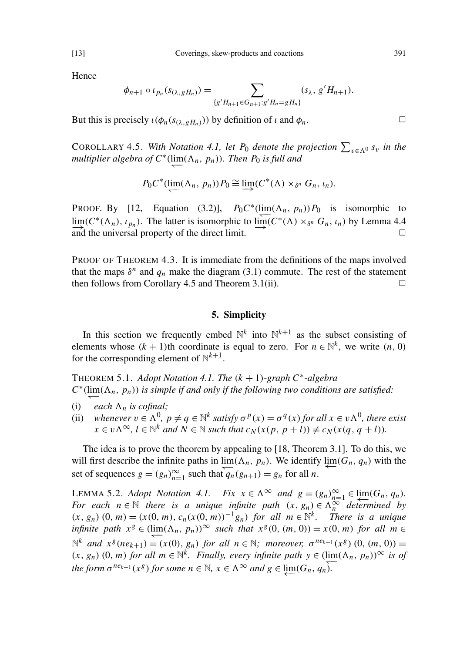Hence

$$
\phi_{n+1} \circ \iota_{p_n}(s_{(\lambda,gH_n)}) = \sum_{\{g'H_{n+1} \in G_{n+1}: g'H_n = gH_n\}} (s_{\lambda}, g'H_{n+1}).
$$

But this is precisely  $\iota(\phi_n(s_{(\lambda, gH_n)}))$  by definition of  $\iota$  and  $\phi_n$ .

<span id="page-12-0"></span>COROLLARY 4.5. *With Notation [4.1,](#page-10-1) let P*<sup>0</sup> *denote the projection*  $\sum_{v \in \Lambda^0} s_v$  *in the*  $multiplier algebra of C<sup>*</sup>(lim<sub>→</sub>( $\Lambda_n$ ,  $p_n$ )). Then  $P_0$  is full and$ 

$$
P_0 C^* (\lim_{\longrightarrow} (\Lambda_n, p_n)) P_0 \cong \lim_{\longrightarrow} (C^* (\Lambda) \times_{\delta^n} G_n, \iota_n).
$$

PROOF. By [\[12,](#page-19-1) Equation (3.2)],  $P_0 C^* (\lim_{n \to \infty} (\Lambda_n, p_n)) P_0$  is isomorphic to  $\lim_{n \to \infty} (C^*(\Lambda_n), \iota_{p_n})$ . The latter is isomorphic to  $\lim_{n \to \infty} (C^*(\Lambda) \times_{\delta^n} G_n, \iota_n)$  by Lemma [4.4](#page-11-1) and the universal property of the direct limit.  $\Box$ 

PROOF OF THEOREM [4.3.](#page-11-0) It is immediate from the definitions of the maps involved that the maps  $\delta^n$  and  $q_n$  make the diagram [\(3.1\)](#page-5-1) commute. The rest of the statement then follows from Corollary [4.5](#page-12-0) and Theorem [3.1\(](#page-5-0)ii).  $\Box$ 

## 5. Simplicity

<span id="page-12-1"></span>In this section we frequently embed  $\mathbb{N}^k$  into  $\mathbb{N}^{k+1}$  as the subset consisting of elements whose  $(k + 1)$ th coordinate is equal to zero. For  $n \in \mathbb{N}^k$ , we write  $(n, 0)$ for the corresponding element of  $\mathbb{N}^{k+1}$ .

<span id="page-12-3"></span>THEOREM 5.1. *Adopt Notation [4.1.](#page-10-1) The* (*k* + 1)*-graph C*<sup>∗</sup> *-algebra*  $C^*$ ( $\lim_{n \to \infty} (\Lambda_n, p_n)$ ) *is simple if and only if the following two conditions are satisfied:* 

- (i) *each*  $\Lambda_n$  *is cofinal*;
- (ii) whenever  $v \in \Lambda^0$ ,  $p \neq q \in \mathbb{N}^k$  satisfy  $\sigma^p(x) = \sigma^q(x)$  for all  $x \in v \Lambda^0$ , there exist  $x \in v\Lambda^{\infty}, l \in \mathbb{N}^k$  *and*  $N \in \mathbb{N}$  *such that*  $c_N(x(p, p + l)) \neq c_N(x(q, q + l))$ *.*

The idea is to prove the theorem by appealing to [\[18,](#page-19-2) Theorem 3.1]. To do this, we will first describe the infinite paths in  $\lim_{n \to \infty} (\Lambda_n, p_n)$ . We identify  $\lim_{n \to \infty} (G_n, q_n)$  with the set of sequences  $g = (g_n)_{n=1}^{\infty}$  such that  $\overline{q}_n(g_{n+1}) = g_n$  for all *n*.

<span id="page-12-2"></span>LEMMA 5.2. *Adopt Notation* [4.1.](#page-10-1) *Fix*  $x \in \Lambda^{\infty}$  *and*  $g = (g_n)_{n=1}^{\infty} \in \lim_{\Lambda \to 0} (G_n, q_n)$ . *For each*  $n \in \mathbb{N}$  *there is a unique infinite path*  $(x, g_n) \in \Lambda_n^{\infty}$  *determined by*  $(x, g_n)$   $(0, m) = (x(0, m), c_n(x(0, m))^{-1}g_n)$  *for all m* ∈ N<sup>k</sup>. There is a unique *infinite path*  $x^g \in (\lim_{m \to \infty} (\Lambda_n, p_n))^{\infty}$  *such that*  $x^g(0, (m, 0)) = x(0, m)$  *for all m* ∈  $\mathbb{N}^k$  *and*  $x^g(ne_{k+1}) = (x(0), g_n)$  *for all*  $n \in \mathbb{N}$ *; moreover,*  $\sigma^{ne_{k+1}}(x^g)$  (0,  $(m, 0)$ ) =  $(x, g_n)$  (0, *m*) *for all m* ∈ <sup>Nk</sup>. Finally, every infinite path  $y \in (\lim_{n \to \infty} (\Lambda_n, p_n))^{\infty}$  is of *the form*  $\sigma^{ne_{k+1}}(x^g)$  *for some*  $n \in \mathbb{N}$ *,*  $x \in \Lambda^\infty$  *and*  $g \in \varprojlim(G_n, q_n)$ *.*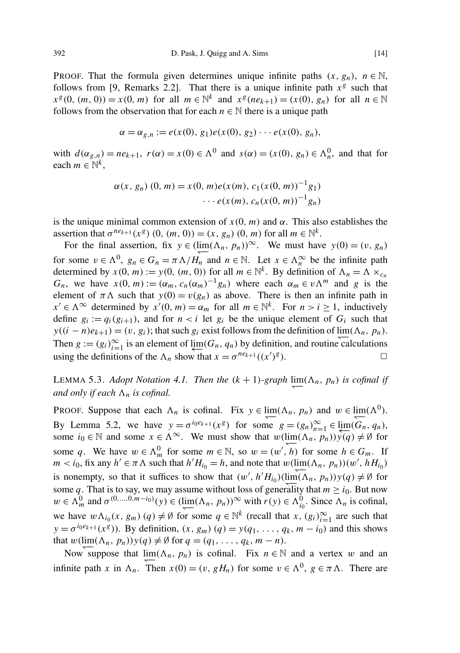PROOF. That the formula given determines unique infinite paths  $(x, g_n)$ ,  $n \in \mathbb{N}$ , follows from [\[9,](#page-19-5) Remarks 2.2]. That there is a unique infinite path  $x^g$  such that  $x^g$ (0, (*m*, 0)) = *x*(0, *m*) for all *m* ∈ N<sup>*k*</sup> and  $x^g$ (*ne*<sub>*k*+1</sub>) = (*x*(0), *g<sub>n</sub>*) for all *n* ∈ N follows from the observation that for each  $n \in \mathbb{N}$  there is a unique path

$$
\alpha = \alpha_{g,n} := e(x(0), g_1)e(x(0), g_2) \cdots e(x(0), g_n),
$$

with  $d(\alpha_{g,n}) = ne_{k+1}$ ,  $r(\alpha) = x(0) \in \Lambda^0$  and  $s(\alpha) = (x(0), g_n) \in \Lambda^0_n$ , and that for each  $m \in \mathbb{N}^k$ ,

$$
\alpha(x, g_n) (0, m) = x(0, m)e(x(m), c_1(x(0, m))^{-1}g_1)
$$

$$
\cdots e(x(m), c_n(x(0, m))^{-1}g_n)
$$

is the unique minimal common extension of  $x(0, m)$  and  $\alpha$ . This also establishes the assertion that  $\sigma^{ne_{k+1}}(x^g)$  (0,  $(m, 0)$ ) =  $(x, g_n)$  (0,  $m$ ) for all  $m \in \mathbb{N}^k$ .

For the final assertion, fix  $y \in (\lim_{n \to \infty} (\Lambda_n, p_n))^{\infty}$ . We must have  $y(0) = (v, g_n)$ for some  $v \in \Lambda^0$ ,  $g_n \in G_n = \pi \Lambda / H_n$  and  $n \in \mathbb{N}$ . Let  $x \in \Lambda_n^{\infty}$  be the infinite path determined by  $x(0, m) := y(0, (m, 0))$  for all  $m \in \mathbb{N}^k$ . By definition of  $\Lambda_n = \Lambda \times_{c_n}$ *G<sub>n</sub>*, we have  $x(0, m) := (\alpha_m, c_n(\alpha_m)^{-1}g_n)$  where each  $\alpha_m \in v\Lambda^m$  and *g* is the element of  $\pi \Lambda$  such that  $y(0) = v(g_n)$  as above. There is then an infinite path in  $x' \in \Lambda^\infty$  determined by  $x'(0, m) = \alpha_m$  for all  $m \in \mathbb{N}^k$ . For  $n > i \ge 1$ , inductively define  $g_i := q_i(g_{i+1})$ , and for  $n < i$  let  $g_i$  be the unique element of  $G_i$  such that  $y((i - n)e_{k+1}) = (v, g_i)$ ; that such  $g_i$  exist follows from the definition of  $\lim_{n \to \infty} (\Lambda_n, p_n)$ . Then  $g := (g_i)_{i=1}^{\infty}$  is an element of  $\varprojlim(G_n, q_n)$  by definition, and routine calculations using the definitions of the  $\Lambda_n$  show that  $x = \sigma^{ne_{k+1}}((x')^g)$ ).  $\qquad \qquad \Box$ 

<span id="page-13-0"></span>LEMMA 5.3. *Adopt Notation* [4.1.](#page-10-1) *Then the*  $(k + 1)$ -graph  $\lim_{n \to \infty} (\Lambda_n, p_n)$  *is cofinal if and only if each*  $\Lambda_n$  *is cofinal.* 

PROOF. Suppose that each  $\Lambda_n$  is cofinal. Fix  $y \in \lim_{n \to \infty} (\Lambda_n, p_n)$  and  $w \in \lim_{n \to \infty} (\Lambda^0)$ . By Lemma [5.2,](#page-12-2) we have  $y = \sigma^{i_0 e_{k+1}}(x^g)$  for some  $g = (g_n)_{n=1}^\infty \in \lim_{n \to \infty} (G_n, q_n)$ , some *i*<sub>0</sub> ∈ N and some  $x \in \Lambda^\infty$ . We must show that  $w(\lim_{n \to \infty} (\Lambda_n, p_n)) \sqrt[n]{(q)} \neq \emptyset$  for some q. We have  $w \in \Lambda_m^0$  for some  $m \in \mathbb{N}$ , so  $w = (w', h)$  for some  $h \in G_m$ . If  $m < i_0$ , fix any  $h' \in \pi \Lambda$  such that  $h'H_{i_0} = h$ , and note that  $w(\lim_{h \to \infty} (\Lambda_n, p_n))(w', hH_{i_0})$ is nonempty, so that it suffices to show that  $(w', h'H_{i_0})(\lim_{n \to \infty} (\Lambda_n, p_n))y(q) \neq \emptyset$  for some q. That is to say, we may assume without loss of generality that  $m \ge i_0$ . But now  $w \in \Lambda_m^0$  and  $\sigma^{(0,...,0,m-i_0)}(y) \in (\lim_{n \to \infty} (\Lambda_n, p_n))^{\infty}$  with  $r(y) \in \Lambda_{i_0}^0$ . Since  $\Lambda_n$  is cofinal, we have  $w\Lambda_{i_0}(x, g_m)$   $(q) \neq \emptyset$  for some  $q \in \mathbb{N}^k$  (recall that  $x, (g_i)_{i=1}^{\infty}$  are such that  $y = \sigma^{i_0 e_{k+1}}(x^g)$ ). By definition,  $(x, g_m)$   $(q) = y(q_1, \ldots, q_k, m - i_0)$  and this shows that  $w(\lim_{n \to \infty} (\Lambda_n, p_n)) y(q) \neq \emptyset$  for  $q = (q_1, \ldots, q_k, m - n)$ .

Now suppose that  $\lim_{n \to \infty} (\Lambda_n, p_n)$  is cofinal. Fix  $n \in \mathbb{N}$  and a vertex w and an infinite path *x* in  $\Lambda_n$ . Then  $x(0) = (v, gH_n)$  for some  $v \in \Lambda^0$ ,  $g \in \pi \Lambda$ . There are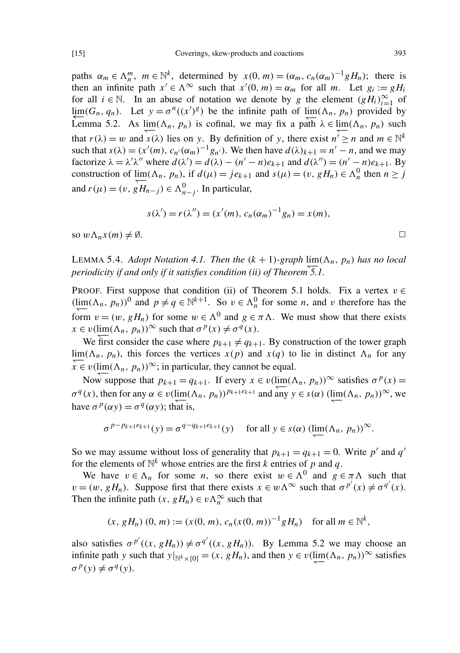paths  $\alpha_m \in \Lambda_n^m$ ,  $m \in \mathbb{N}^k$ , determined by  $x(0, m) = (\alpha_m, c_n(\alpha_m)^{-1}gH_n)$ ; there is then an infinite path  $x' \in \Lambda^\infty$  such that  $x'(0, m) = \alpha_m$  for all *m*. Let  $g_i := gH_i$ for all  $i \in \mathbb{N}$ . In an abuse of notation we denote by *g* the element  $(gH_i)_{i=1}^{\infty}$  of lim( $G_n$ ,  $q_n$ ). Let  $y = \sigma^n((x')^g)$  be the infinite path of lim( $\Lambda_n$ ,  $p_n$ ) provided by Lemma [5.2.](#page-12-2) As  $\lim_{n \to \infty} (\Lambda_n, p_n)$  is cofinal, we may fix a path  $\lambda \in \lim_{n \to \infty} (\Lambda_n, p_n)$  such that  $r(\lambda) = w$  and  $s(\lambda)$  lies on *y*. By definition of *y*, there exist  $n' \ge n$  and  $m \in \mathbb{N}^k$ such that  $s(\lambda) = (x'(m), c_{n'}(\alpha_m)^{-1}g_{n'})$ . We then have  $d(\lambda)_{k+1} = n' - n$ , and we may factorize  $\lambda = \lambda' \lambda''$  where  $d(\lambda') = d(\lambda) - (n' - n)e_{k+1}$  and  $d(\lambda'') = (n' - n)e_{k+1}$ . By construction of  $\lim_{n \to \infty} (\Lambda_n, p_n)$ , if  $d(\mu) = je_{k+1}$  and  $s(\mu) = (v, gH_n) \in \Lambda_n^0$  then  $n \geq j$ and  $r(\mu) = (v, gH_{n-j}) \in \Lambda_{n-j}^0$ . In particular,

$$
s(\lambda') = r(\lambda'') = (x'(m), c_n(\alpha_m)^{-1}g_n) = x(m),
$$

so  $w \Lambda_n x(m) \neq \emptyset$ .

<span id="page-14-0"></span>LEMMA 5.4. *Adopt Notation* [4.1.](#page-10-1) *Then the*  $(k + 1)$ -*graph*  $\lim_{n \to \infty} (\Lambda_n, p_n)$  *has no local periodicity if and only if it satisfies condition (ii) of Theorem [5.1.](#page-12-3)*

PROOF. First suppose that condition (ii) of Theorem [5.1](#page-12-3) holds. Fix a vertex  $v \in$  $(\lim_{n \to \infty} (\Lambda_n, p_n))^0$  and  $p \neq q \in \mathbb{N}^{k+1}$ . So  $v \in \Lambda_n^0$  for some *n*, and *v* therefore has the form  $v = (w, gH_n)$  for some  $w \in \Lambda^0$  and  $g \in \pi \Lambda$ . We must show that there exists  $x \in v(\lim_{n \to \infty} (\Lambda_n, p_n))^{\infty}$  such that  $\sigma^p(x) \neq \sigma^q(x)$ .

We first consider the case where  $p_{k+1} \neq q_{k+1}$ . By construction of the tower graph  $\lim_{\lambda \to 0} (\Lambda_n, p_n)$ , this forces the vertices  $x(p)$  and  $x(q)$  to lie in distinct  $\Lambda_n$  for any  $\overline{x} \in v(\lim_{n \to \infty} (\Lambda_n, p_n))^{\infty}$ ; in particular, they cannot be equal.

Now suppose that  $p_{k+1} = q_{k+1}$ . If every  $x \in v(\lim_{n \to \infty} (\Lambda_n, p_n))^{\infty}$  satisfies  $\sigma^p(x) =$  $\sigma^q(x)$ , then for any  $\alpha \in v(\lim(\Lambda_n, p_n))^{p_{k+1}e_{k+1}}$  and any  $y \in s(\alpha)$  (lim( $\Lambda_n$ ,  $p_n$ ))<sup>∞</sup>, we have  $\sigma^p(\alpha y) = \sigma^q(\alpha y)$ ; that is,

$$
\sigma^{p-p_{k+1}e_{k+1}}(y) = \sigma^{q-q_{k+1}e_{k+1}}(y) \quad \text{ for all } y \in s(\alpha) \text{ (lim}_{\substack{\longleftarrow \\ \longleftarrow}} (\Lambda_n, p_n))^{\infty}.
$$

So we may assume without loss of generality that  $p_{k+1} = q_{k+1} = 0$ . Write  $p'$  and  $q'$ for the elements of  $\mathbb{N}^k$  whose entries are the first *k* entries of *p* and *q*.

We have  $v \in \Lambda_n$  for some *n*, so there exist  $w \in \Lambda^0$  and  $g \in \pi \Lambda$  such that  $v = (w, gH_n)$ . Suppose first that there exists  $x \in w \Lambda^{\infty}$  such that  $\sigma^{p'}(x) \neq \sigma^{q'}(x)$ . Then the infinite path  $(x, gH_n) \in v\Lambda_n^{\infty}$  such that

$$
(x, gH_n) (0, m) := (x(0, m), c_n(x(0, m))^{-1} gH_n)
$$
 for all  $m \in \mathbb{N}^k$ ,

also satisfies  $\sigma^{p'}((x, gH_n)) \neq \sigma^{q'}((x, gH_n))$ . By Lemma [5.2](#page-12-2) we may choose an infinite path *y* such that  $y|_{\mathbb{N}^k \times \{0\}} = (x, gH_n)$ , and then  $y \in v(\lim_{s \to 0} (\Lambda_n, p_n))^{\infty}$  satisfies  $\sigma^p(y) \neq \sigma^q(y)$ .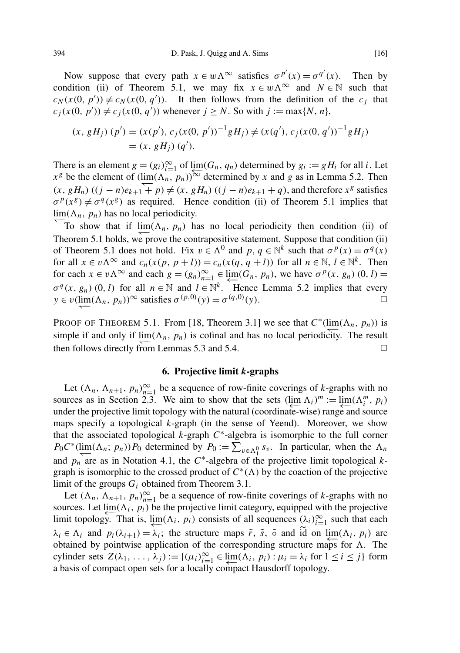Now suppose that every path  $x \in w \wedge^{\infty}$  satisfies  $\sigma^{p'}(x) = \sigma^{q'}(x)$ . Then by condition (ii) of Theorem [5.1,](#page-12-3) we may fix  $x \in w\Lambda^\infty$  and  $N \in \mathbb{N}$  such that  $c_N(x(0, p')) \neq c_N(x(0, q'))$ . It then follows from the definition of the *c<sub>j</sub>* that  $c_j(x(0, p')) \neq c_j(x(0, q'))$  whenever  $j \geq N$ . So with  $j := \max\{N, n\}$ ,

$$
(x, gHj) (p') = (x(p'), cj(x(0, p'))-1gHj) \neq (x(q'), cj(x(0, q'))-1gHj)
$$
  
= (x, gH<sub>j</sub>) (q').

There is an element  $g = (g_i)_{i=1}^{\infty}$  of  $\lim_{n \to \infty} (G_n, q_n)$  determined by  $g_i := gH_i$  for all *i*. Let  $x^g$  be the element of  $(\lim_{n \to \infty} (\Lambda_n, p_n))^{\infty}$  determined by *x* and *g* as in Lemma [5.2.](#page-12-2) Then  $(x, gH_n)$   $((j - n)e_{k+1} + p) \neq (x, gH_n)$   $((j - n)e_{k+1} + q)$ , and therefore  $x^g$  satisfies  $\sigma^p(x^g) \neq \sigma^q(x^g)$  as required. Hence condition (ii) of Theorem [5.1](#page-12-3) implies that  $\lim_{n \to \infty} (\Lambda_n, p_n)$  has no local periodicity.

To show that if  $\lim_{n \to \infty} (\Lambda_n, p_n)$  has no local periodicity then condition (ii) of Theorem [5.1](#page-12-3) holds, we prove the contrapositive statement. Suppose that condition (ii) of Theorem [5.1](#page-12-3) does not hold. Fix  $v \in \Lambda^0$  and  $p, q \in \mathbb{N}^k$  such that  $\sigma^p(x) = \sigma^q(x)$ for all  $x \in v\Lambda^\infty$  and  $c_n(x(p, p + l)) = c_n(x(q, q + l))$  for all  $n \in \mathbb{N}, l \in \mathbb{N}^k$ . Then for each  $x \in v \Lambda^{\infty}$  and each  $g = (g_n)_{n=1}^{\infty} \in \lim_{n \to \infty} (G_n, p_n)$ , we have  $\sigma^p(x, g_n)$  (0, *l*) =  $\sigma^q(x, g_n)$  (0, *l*) for all  $n \in \mathbb{N}$  and  $l \in \mathbb{N}^k$ . Hence Lemma [5.2](#page-12-2) implies that every  $y \in v(\lim_{y \to 0} (\Lambda_n, p_n))^\infty$  satisfies  $\sigma^{(p,0)}(y) = \sigma^{(q,0)}(y)$ .

PROOF OF THEOREM [5.1.](#page-12-3) From [\[18,](#page-19-2) Theorem 3.1] we see that  $C^*(\lim_{n \to \infty} (\Lambda_n, p_n))$  is simple if and only if  $\lim_{n \to \infty} (\Lambda_n, p_n)$  is cofinal and has no local periodicity. The result then follows directly from Lemmas [5.3](#page-13-0) and [5.4.](#page-14-0)  $\Box$ 

## 6. Projective limit *k*-graphs

<span id="page-15-0"></span>Let  $(\Lambda_n, \Lambda_{n+1}, p_n)_{n=1}^{\infty}$  be a sequence of row-finite coverings of *k*-graphs with no sources as in Section [2.3.](#page-3-0) We aim to show that the sets  $(\varprojlim_{i} \Lambda_{i})^{m} := \varprojlim_{i} (\Lambda_{i}^{m}, p_{i})$ under the projective limit topology with the natural (coordinate-wise) range and source maps specify a topological *k*-graph (in the sense of Yeend). Moreover, we show that the associated topological  $k$ -graph  $C^*$ -algebra is isomorphic to the full corner  $P_0 C^* (\lim_{s \to \infty} (\Lambda_n; p_n)) P_0$  determined by  $P_0 := \sum_{v \in \Lambda_1^0} s_v$ . In particular, when the  $\Lambda_n$ and  $p_n$  are as in Notation [4.1,](#page-10-1) the *C*<sup>\*</sup>-algebra of the projective limit topological *k*graph is isomorphic to the crossed product of  $C^*(\Lambda)$  by the coaction of the projective limit of the groups *G<sup>i</sup>* obtained from Theorem [3.1.](#page-5-0)

Let  $(\Lambda_n, \Lambda_{n+1}, p_n)_{n=1}^{\infty}$  be a sequence of row-finite coverings of *k*-graphs with no sources. Let  $\lim_{t \to \infty} (\Lambda_i, p_i)$  be the projective limit category, equipped with the projective limit topology. That is,  $\lim_{n \to \infty} (\Lambda_i, p_i)$  consists of all sequences  $(\lambda_i)_{i=1}^{\infty}$  such that each  $\lambda_i \in \Lambda_i$  and  $p_i(\lambda_{i+1}) = \lambda_i$ ; the structure maps  $\tilde{r}$ ,  $\tilde{s}$ ,  $\tilde{\circ}$  and id on  $\varprojlim(\Lambda_i, p_i)$  are obtained by pointwise application of the corresponding structure maps for  $\Lambda$ . The cylinder sets  $Z(\lambda_1, ..., \lambda_j) := \{(\mu_i)_{i=1}^{\infty} \in \lim_{i \to \infty} (\Lambda_i, p_i) : \mu_i = \lambda_i \text{ for } 1 \le i \le j\}$  form a basis of compact open sets for a locally compact Hausdorff topology.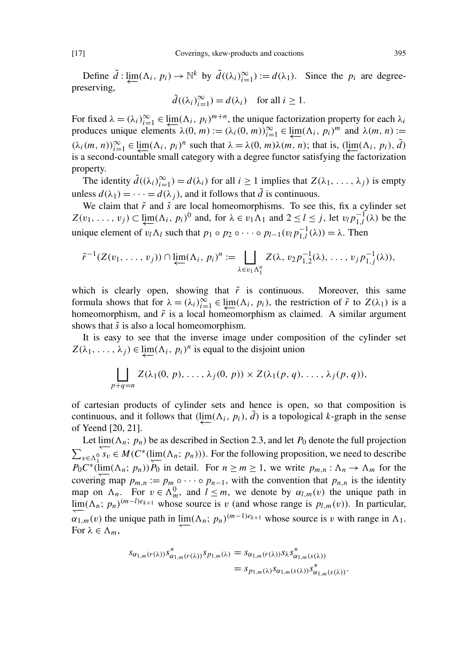Define  $\tilde{d}$  :  $\lim_{k \to \infty} (\Lambda_i, p_i) \to \mathbb{N}^k$  by  $\tilde{d}((\lambda_i)_{i=1}^{\infty}) := d(\lambda_1)$ . Since the  $p_i$  are degreepreserving,

$$
\tilde{d}((\lambda_i)_{i=1}^{\infty}) = d(\lambda_i) \text{ for all } i \ge 1.
$$

For fixed  $\lambda = (\lambda_i)_{i=1}^{\infty} \in \lim_{\lambda_i \to 1} (\Lambda_i, p_i)^{m+n}$ , the unique factorization property for each  $\lambda_i$ produces unique elements  $\lambda(0, m) := (\lambda_i(0, m))_{i=1}^{\infty} \in \lim_{\epsilon \to 1} (\Lambda_i, p_i)^m$  and  $\lambda(m, n) :=$  $(\lambda_i(m, n))_{i=1}^{\infty} \in \underline{\lim} (\Lambda_i, p_i)^n$  such that  $\lambda = \lambda(0, m) \lambda(m, n)$ ; that is,  $(\underline{\lim} (\Lambda_i, p_i), \tilde{d})$  $\mu_{\text{min}}(X_i, p_i)$  such that  $\lambda = \lambda(0, m)\lambda(m, n)$ , that is,  $\mu_{\text{min}}$ is a second-countable small category with a degree functor satisfying the factorization property.

The identity  $\tilde{d}((\lambda_i)_{i=1}^{\infty}) = d(\lambda_i)$  for all  $i \geq 1$  implies that  $Z(\lambda_1, \ldots, \lambda_j)$  is empty unless  $d(\lambda_1) = \cdots = d(\lambda_i)$ , and it follows that  $\tilde{d}$  is continuous.

We claim that  $\tilde{r}$  and  $\tilde{s}$  are local homeomorphisms. To see this, fix a cylinder set  $Z(v_1, \ldots, v_j) \subset \lim_{\leftarrow} (\Lambda_i, p_i)^0$  and, for  $\lambda \in v_1 \Lambda_1$  and  $2 \leq l \leq j$ , let  $v_l p_{1,l}^{-1}$  $\int_{1,l}^{-1} (\lambda)$  be the unique element of  $v_l \Lambda_l$  such that  $p_1 \circ p_2 \circ \cdots \circ p_{l-1}(v_l p_{l,l}^{-1})$  $\eta_{1,l}^{-1}(\lambda)) = \lambda$ . Then

$$
\tilde{r}^{-1}(Z(v_1,\ldots,v_j))\cap \varprojlim(\Lambda_i, p_i)^n := \prod_{\lambda\in v_1\Lambda_1^n} Z(\lambda, v_2p_{1,2}^{-1}(\lambda),\ldots, v_jp_{1,j}^{-1}(\lambda)),
$$

which is clearly open, showing that  $\tilde{r}$  is continuous. Moreover, this same formula shows that for  $\lambda = (\lambda_i)_{i=1}^{\infty} \in \lim_{\leftarrow} (\Lambda_i, p_i)$ , the restriction of  $\tilde{r}$  to  $Z(\lambda_1)$  is a homeomorphism, and  $\tilde{r}$  is a local homeomorphism as claimed. A similar argument shows that  $\tilde{s}$  is also a local homeomorphism.

It is easy to see that the inverse image under composition of the cylinder set  $Z(\lambda_1, \ldots, \lambda_j) \in \lim_{\leftarrow} (\Lambda_i, p_i)^n$  is equal to the disjoint union

$$
\bigsqcup_{p+q=n} Z(\lambda_1(0, p), \ldots, \lambda_j(0, p)) \times Z(\lambda_1(p, q), \ldots, \lambda_j(p, q)),
$$

of cartesian products of cylinder sets and hence is open, so that composition is continuous, and it follows that  $(\lim_{\leftarrow} (\Lambda_i, p_i), \tilde{d})$  is a topological *k*-graph in the sense of Yeend [\[20,](#page-19-3) [21\]](#page-19-4).

Let  $\lim_{n \to \infty} (\Lambda_n; p_n)$  be as described in Section [2.3,](#page-3-0) and let  $P_0$  denote the full projection  $\sum_{v \in \Lambda_1^0} \overline{s_v} \in M(C^*(\lim_{n}(\Lambda_n; p_n)))$ . For the following proposition, we need to describe  $P_0 C^*$  (lim( $\Lambda_n$ ; *p<sub>n</sub>*))  $P_0$  in detail. For  $n \ge m \ge 1$ , we write  $p_{m,n} : \Lambda_n \to \Lambda_m$  for the covering map  $p_{m,n} := p_m \circ \cdots \circ p_{n-1}$ , with the convention that  $p_{n,n}$  is the identity map on  $\Lambda_n$ . For  $v \in \Lambda_m^0$ , and  $l \leq m$ , we denote by  $\alpha_{l,m}(v)$  the unique path in lim( $\Lambda_n$ ; *p<sub>n</sub>*)<sup>(*m*−*l*)*e*<sub>*k*+1</sub> whose source is *v* (and whose range is *p<sub>l,m</sub>*(*v*)). In particular,</sup>  $\alpha_{1,m}(v)$  the unique path in  $\lim_{n \to \infty} (\Lambda_n; p_n)^{(m-1)e_{k+1}}$  whose source is v with range in  $\Lambda_1$ . For  $\lambda \in \Lambda_m$ ,

$$
s_{\alpha_{1,m}(r(\lambda))} s_{\alpha_{1,m}(r(\lambda))}^* s_{p_{1,m}(\lambda)} = s_{\alpha_{1,m}(r(\lambda))} s_{\lambda} s_{\alpha_{1,m}(s(\lambda))}^* = s_{p_{1,m}(\lambda)} s_{\alpha_{1,m}(s(\lambda))} s_{\alpha_{1,m}(s(\lambda))}^*.
$$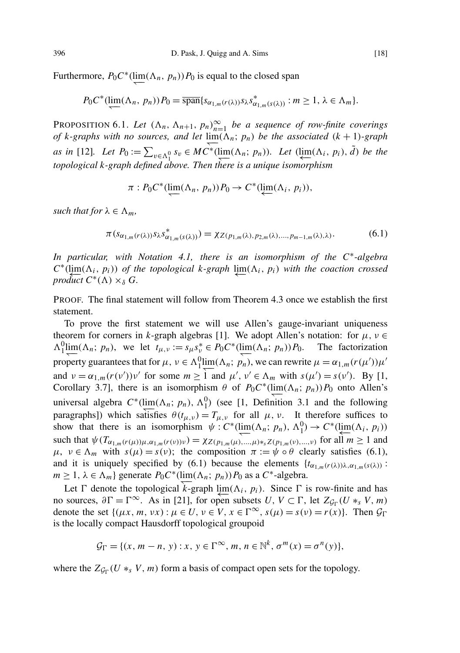Furthermore,  $P_0 C^* (\lim_{n \to \infty} (\Lambda_n, p_n)) P_0$  is equal to the closed span

$$
P_0 C^* (\underleftarrow{\text{lim}}(\Lambda_n, p_n)) P_0 = \overline{\text{span}} \{ s_{\alpha_{1,m}(r(\lambda))} s_\lambda s_{\alpha_{1,m}(s(\lambda))}^* : m \ge 1, \lambda \in \Lambda_m \}.
$$

<span id="page-17-1"></span>PROPOSITION 6.1. Let  $(\Lambda_n, \Lambda_{n+1}, p_n)_{n=1}^{\infty}$  be a sequence of row-finite coverings *of k-graphs with no sources, and let*  $\lim_{n \to \infty} (\Lambda_n; p_n)$  *be the associated*  $(k + 1)$ *-graph as in* [\[12\]](#page-19-1). Let  $P_0 := \sum_{v \in \Lambda_1^0} s_v \in MC^*(\lim_{\Lambda_n^+}(\Lambda_n; p_n))$ . Let  $(\lim_{\leftarrow \Lambda_n^+}(\Lambda_i, p_i), d)$  be the 1 *topological k-graph defined above. Then there is a unique isomorphism*

$$
\pi: P_0 C^*(\lim_{\longrightarrow} (\Lambda_n, p_n)) P_0 \to C^*(\lim_{\longrightarrow} (\Lambda_i, p_i)),
$$

*such that for*  $\lambda \in \Lambda_m$ *,* 

<span id="page-17-0"></span>
$$
\pi(s_{\alpha_{1,m}(r(\lambda))} s_{\lambda} s_{\alpha_{1,m}(s(\lambda))}^{*}) = \chi_{Z(p_{1,m}(\lambda), p_{2,m}(\lambda), ..., p_{m-1,m}(\lambda), \lambda)}.
$$
(6.1)

*In particular, with Notation [4.1,](#page-10-1) there is an isomorphism of the C*<sup>∗</sup> *-algebra*  $C^*$ ( $\lim_{\epsilon \to 0} (\Lambda_i, p_i)$ ) of the topological k-graph  $\lim_{\epsilon \to 0} (\Lambda_i, p_i)$  with the coaction crossed *product*  $C^*(\Lambda) \times_{\delta} G$ .

PROOF. The final statement will follow from Theorem [4.3](#page-11-0) once we establish the first statement.

To prove the first statement we will use Allen's gauge-invariant uniqueness theorem for corners in *k*-graph algebras [\[1\]](#page-19-14). We adopt Allen's notation: for  $\mu$ ,  $\nu \in$  $\Lambda_1^0$  $\underline{\lim}(\Lambda_n; p_n)$ , we let  $t_{\mu,\nu} := s_{\mu} s_{\nu}^* \in P_0 C^*$  ( $\underline{\lim}(\Lambda_n; p_n)$ )  $P_0$ . The factorization property guarantees that for  $\mu$ ,  $\nu \in \Lambda_1^0$  lim( $\Lambda_n$ ;  $p_n$ ), we can rewrite  $\mu = \alpha_{1,n}(r(\mu'))\mu'$ and  $v = \alpha_{1,m}(r(v'))v'$  for some  $m \geq 1$  and  $\mu', v' \in \Lambda_m$  with  $s(\mu') = s(v')$ . By [\[1,](#page-19-14) Corollary 3.7], there is an isomorphism  $\theta$  of  $P_0 C^* (\lim_{n \to \infty} (\Lambda_n; p_n)) P_0$  onto Allen's universal algebra  $C^*(\lim_{n \to \infty} (\Lambda_n; p_n), \Lambda_1^0)$  (see [\[1,](#page-19-14) Definition 3.1 and the following paragraphs]) which satisfies  $\theta(t_{\mu,\nu}) = T_{\mu,\nu}$  for all  $\mu, \nu$ . It therefore suffices to show that there is an isomorphism  $\psi: C^*(\lim_{n \to \infty} (\Lambda_n; p_n), \Lambda_1^0) \to C^*(\lim_{n \to \infty} (\Lambda_i, p_i))$ such that  $\psi(T_{\alpha_{1,m}(r(\mu))\mu,\alpha_{1,m}(r(\nu))\nu}) = \chi_{Z(p_{1,m}(\mu),...,p)*_{s}Z(p_{1,m}(\nu),..., \nu)}$  for all  $m \ge 1$  and  $\mu, \nu \in \Lambda_m$  with  $s(\mu) = s(\nu)$ ; the composition  $\pi := \psi \circ \theta$  clearly satisfies [\(6.1\)](#page-17-0), and it is uniquely specified by [\(6.1\)](#page-17-0) because the elements  $\{t_{\alpha_{1,m}(r(\lambda))\lambda,\alpha_{1,m}(s(\lambda))}$ : *m* ≥ 1,  $\lambda \in \Lambda_m$ } generate  $P_0 C^*$  (lim( $\Lambda_n$ ;  $p_n$ )) $P_0$  as a  $C^*$ -algebra.

Let  $\Gamma$  denote the topological  $k$ -graph  $\lim_{n \to \infty} (\Lambda_i, p_i)$ . Since  $\Gamma$  is row-finite and has no sources,  $\partial \Gamma = \Gamma^{\infty}$ . As in [\[21\]](#page-19-4), for open subsets *U*,  $V \subset \Gamma$ , let  $Z_{\mathcal{G}_{\Gamma}}(U *_{s} V, m)$ denote the set  $\{(\mu x, m, \nu x) : \mu \in U, \nu \in V, x \in \Gamma^{\infty}, s(\mu) = s(\nu) = r(x)\}\)$ . Then  $\mathcal{G}_{\Gamma}$ is the locally compact Hausdorff topological groupoid

$$
\mathcal{G}_{\Gamma} = \{ (x, m-n, y) : x, y \in \Gamma^{\infty}, m, n \in \mathbb{N}^k, \sigma^m(x) = \sigma^n(y) \},
$$

where the  $Z_{\mathcal{G}_{\Gamma}}(U *_{s} V, m)$  form a basis of compact open sets for the topology.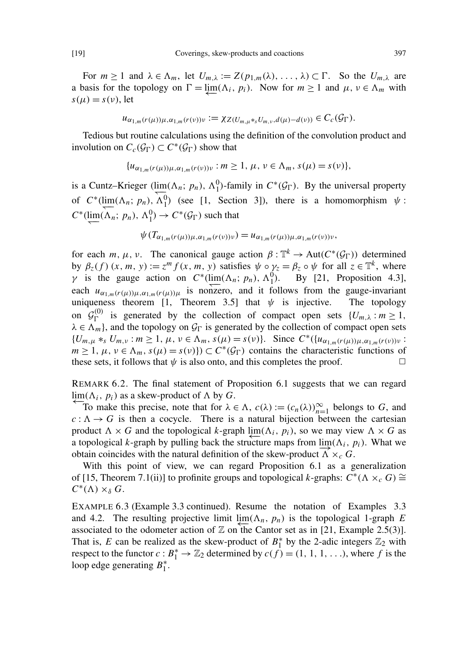For  $m \ge 1$  and  $\lambda \in \Lambda_m$ , let  $U_{m,\lambda} := Z(p_{1,m}(\lambda), \ldots, \lambda) \subset \Gamma$ . So the  $U_{m,\lambda}$  are a basis for the topology on  $\Gamma = \varprojlim(\Lambda_i, p_i)$ . Now for  $m \ge 1$  and  $\mu, \nu \in \Lambda_m$  with  $s(\mu) = s(\nu)$ , let

$$
u_{\alpha_{1,m}(r(\mu))\mu,\alpha_{1,m}(r(\nu))\nu} := \chi_{Z(U_{m,\mu} *_{s}U_{m,\nu},d(\mu)-d(\nu))} \in C_{c}(\mathcal{G}_{\Gamma}).
$$

Tedious but routine calculations using the definition of the convolution product and involution on  $C_c(\mathcal{G}_{\Gamma}) \subset C^*(\mathcal{G}_{\Gamma})$  show that

$$
{u_{\alpha_{1,m}(r(\mu))\mu,\alpha_{1,m}(r(\nu))\nu}:m\geq 1,\,\mu,\,\nu\in\Lambda_m,\,s(\mu)=s(\nu)},
$$

is a Cuntz–Krieger (lim( $\Lambda_n$ ;  $p_n$ ),  $\Lambda_1^0$ )-family in  $C^*(\mathcal{G}_\Gamma)$ . By the universal property of  $C^*$ (lim( $\Lambda_n$ ;  $p_n$ ),  $\Lambda_1^0$ ) (see [\[1,](#page-19-14) Section 3]), there is a homomorphism  $\psi$ :  $C^*(\underleftarrow{\text{lim}}(\Lambda_n; p_n), \Lambda_1^0) \to C^*(\mathcal{G}_{\Gamma})$  such that

$$
\psi(T_{\alpha_{1,m}(r(\mu))\mu,\alpha_{1,m}(r(\nu))\nu})=u_{\alpha_{1,m}(r(\mu))\mu,\alpha_{1,m}(r(\nu))\nu},
$$

for each *m*,  $\mu$ ,  $\nu$ . The canonical gauge action  $\beta : \mathbb{T}^k \to \text{Aut}(C^*(\mathcal{G}_{\Gamma}))$  determined by  $\beta_z(f)(x, m, y) := z^m f(x, m, y)$  satisfies  $\psi \circ \gamma_z = \beta_z \circ \psi$  for all  $z \in \mathbb{T}^k$ , where *γ* is the gauge action on  $C^*$ (lim(Λ<sub>*n*</sub>; *p<sub>n</sub>*), Λ<sup>0</sup><sub>1</sub>). By [\[21,](#page-19-4) Proposition 4.3], each  $u_{\alpha_{1,m}(r(\mu))\mu,\alpha_{1,m}(r(\mu))\mu}$  is nonzero, and it follows from the gauge-invariant uniqueness theorem [1, Theorem 3.5] that  $\psi$  is injective. The topology uniqueness theorem [\[1,](#page-19-14) Theorem 3.5] that  $\psi$  is injective. on  $\mathcal{G}^{(0)}_{\Gamma}$ <sup>(0)</sup> is generated by the collection of compact open sets  $\{U_{m,\lambda} : m \ge 1,$  $\lambda \in \Lambda_m$ , and the topology on  $\mathcal{G}_{\Gamma}$  is generated by the collection of compact open sets  $\{U_{m,\mu} *_{s} U_{m,\nu} : m \geq 1, \mu, \nu \in \Lambda_m, s(\mu) = s(\nu)\}.$  Since  $C^*({u_{\alpha_{1,m}(r(\mu))\mu,\alpha_{1,m}(r(\nu))\nu}}:$  $m \ge 1$ ,  $\mu$ ,  $\nu \in \Lambda_m$ ,  $s(\mu) = s(\nu)$ )  $\subset C^*(\mathcal{G}_{\Gamma})$  contains the characteristic functions of these sets, it follows that  $\psi$  is also onto, and this completes the proof.  $\Box$ 

REMARK 6.2. The final statement of Proposition [6.1](#page-17-1) suggests that we can regard lim( $Λ$ *i*,  $p$ <sup>*i*</sup>) as a skew-product of  $Λ$  by *G*.

To make this precise, note that for  $\lambda \in \Lambda$ ,  $c(\lambda) := (c_n(\lambda))_{n=1}^{\infty}$  belongs to *G*, and  $c: \Lambda \rightarrow G$  is then a cocycle. There is a natural bijection between the cartesian product  $\Lambda \times G$  and the topological *k*-graph lim( $\Lambda_i$ ,  $p_i$ ), so we may view  $\Lambda \times G$  as a topological *k*-graph by pulling back the structure maps from  $\lim_{n \to \infty} (\Lambda_i, p_i)$ . What we obtain coincides with the natural definition of the skew-product  $\Lambda \times_c G$ .

With this point of view, we can regard Proposition [6.1](#page-17-1) as a generalization of [\[15,](#page-19-0) Theorem 7.1(ii)] to profinite groups and topological *k*-graphs:  $C^*(\Lambda \times_c G) \cong$  $C^*(\Lambda) \times_\delta G$ .

EXAMPLE 6.3 (Example [3.3](#page-9-0) continued). Resume the notation of Examples [3.3](#page-9-0) and [4.2.](#page-10-2) The resulting projective limit  $\lim_{n \to \infty} (\Lambda_n, p_n)$  is the topological 1-graph *E* associated to the odometer action of  $\mathbb Z$  on the Cantor set as in [\[21,](#page-19-4) Example 2.5(3)]. That is, *E* can be realized as the skew-product of  $B_1^*$  $_1^*$  by the 2-adic integers  $\mathbb{Z}_2$  with respect to the functor  $c : B_1^* \to \mathbb{Z}_2$  determined by  $c(f) = (1, 1, 1, \ldots)$ , where f is the loop edge generating  $B_1^*$  $_{1}^{*}.$